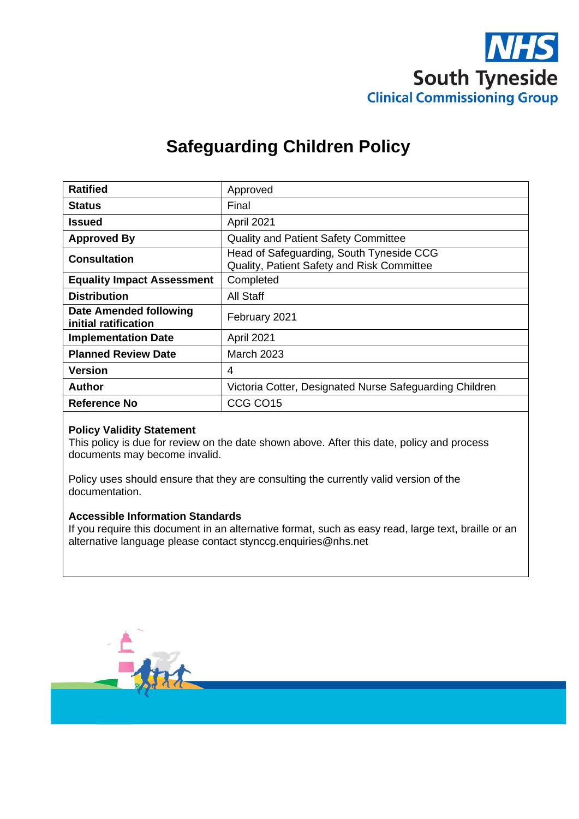

# **Safeguarding Children Policy**

| <b>Ratified</b>                                       | Approved                                                                               |
|-------------------------------------------------------|----------------------------------------------------------------------------------------|
| <b>Status</b>                                         | Final                                                                                  |
| Issued                                                | April 2021                                                                             |
| <b>Approved By</b>                                    | <b>Quality and Patient Safety Committee</b>                                            |
| <b>Consultation</b>                                   | Head of Safeguarding, South Tyneside CCG<br>Quality, Patient Safety and Risk Committee |
| <b>Equality Impact Assessment</b>                     | Completed                                                                              |
| <b>Distribution</b>                                   | All Staff                                                                              |
| <b>Date Amended following</b><br>initial ratification | February 2021                                                                          |
| <b>Implementation Date</b>                            | April 2021                                                                             |
| <b>Planned Review Date</b>                            | March 2023                                                                             |
| <b>Version</b>                                        | 4                                                                                      |
| <b>Author</b>                                         | Victoria Cotter, Designated Nurse Safeguarding Children                                |
| Reference No                                          | CCG CO15                                                                               |

#### **Policy Validity Statement**

This policy is due for review on the date shown above. After this date, policy and process documents may become invalid.

Policy uses should ensure that they are consulting the currently valid version of the documentation.

#### **Accessible Information Standards**

If you require this document in an alternative format, such as easy read, large text, braille or an alternative language please contact stynccg.enquiries@nhs.net

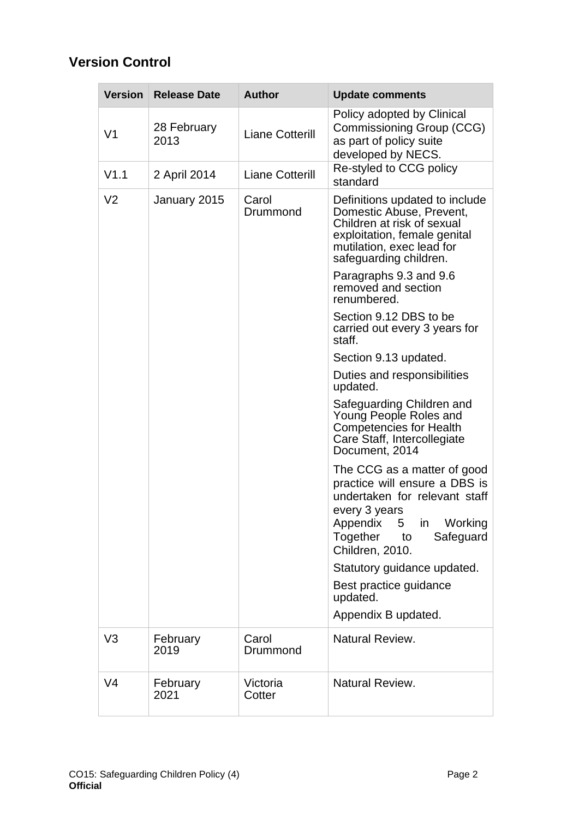# **Version Control**

| <b>Version</b> | <b>Release Date</b> | <b>Author</b>          | <b>Update comments</b>                                                                                                                                                                             |  |  |
|----------------|---------------------|------------------------|----------------------------------------------------------------------------------------------------------------------------------------------------------------------------------------------------|--|--|
| V <sub>1</sub> | 28 February<br>2013 | <b>Liane Cotterill</b> | Policy adopted by Clinical<br>Commissioning Group (CCG)<br>as part of policy suite<br>developed by NECS.                                                                                           |  |  |
| V1.1           | 2 April 2014        | <b>Liane Cotterill</b> | Re-styled to CCG policy<br>standard                                                                                                                                                                |  |  |
| V <sub>2</sub> | January 2015        | Carol<br>Drummond      | Definitions updated to include<br>Domestic Abuse, Prevent,<br>Children at risk of sexual<br>exploitation, female genital<br>mutilation, exec lead for<br>safeguarding children.                    |  |  |
|                |                     |                        | Paragraphs 9.3 and 9.6<br>removed and section<br>renumbered.                                                                                                                                       |  |  |
|                |                     |                        | Section 9.12 DBS to be<br>carried out every 3 years for<br>staff.                                                                                                                                  |  |  |
|                |                     |                        | Section 9.13 updated.                                                                                                                                                                              |  |  |
|                |                     |                        | Duties and responsibilities<br>updated.                                                                                                                                                            |  |  |
|                |                     |                        | Safeguarding Children and<br>Young People Roles and<br><b>Competencies for Health</b><br>Care Staff, Intercollegiate<br>Document, 2014                                                             |  |  |
|                |                     |                        | The CCG as a matter of good<br>practice will ensure a DBS is<br>undertaken for relevant staff<br>every 3 years<br>Working<br>Appendix<br>5<br>in<br>Together<br>Safeguard<br>to<br>Children, 2010. |  |  |
|                |                     |                        | Statutory guidance updated.                                                                                                                                                                        |  |  |
|                |                     |                        | Best practice guidance<br>updated.                                                                                                                                                                 |  |  |
|                |                     |                        | Appendix B updated.                                                                                                                                                                                |  |  |
| V <sub>3</sub> | February<br>2019    | Carol<br>Drummond      | Natural Review.                                                                                                                                                                                    |  |  |
| V <sub>4</sub> | February<br>2021    | Victoria<br>Cotter     | Natural Review.                                                                                                                                                                                    |  |  |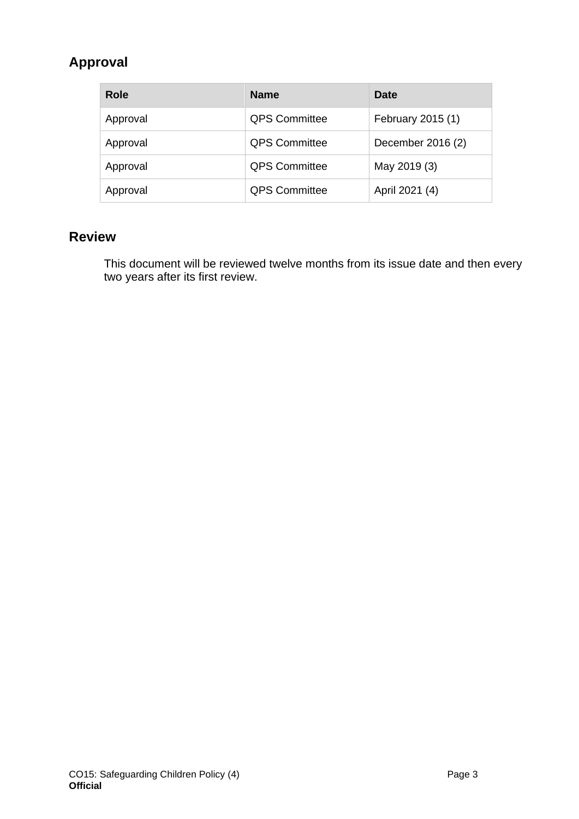# **Approval**

| Role     | <b>Name</b>          | <b>Date</b>       |
|----------|----------------------|-------------------|
| Approval | <b>QPS Committee</b> | February 2015 (1) |
| Approval | <b>QPS Committee</b> | December 2016 (2) |
| Approval | <b>QPS Committee</b> | May 2019 (3)      |
| Approval | <b>QPS Committee</b> | April 2021 (4)    |

# **Review**

This document will be reviewed twelve months from its issue date and then every two years after its first review.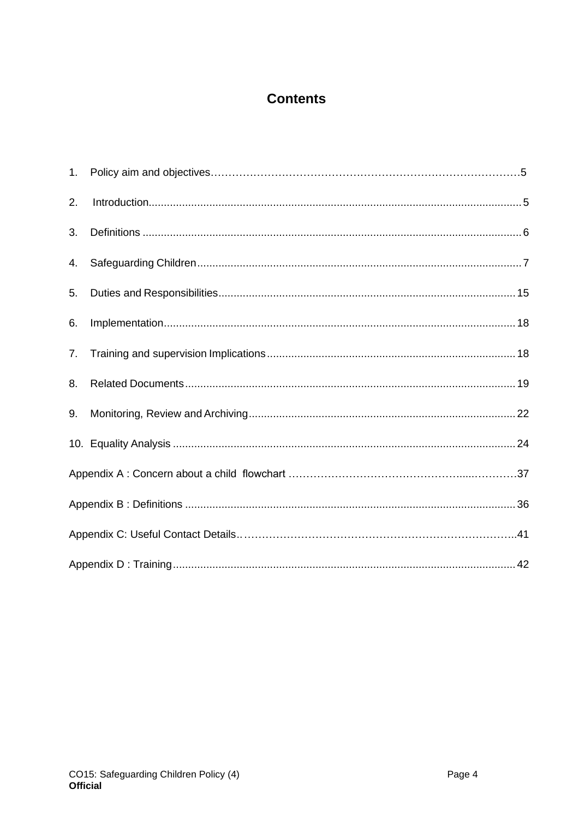# **Contents**

| 1. |  |
|----|--|
| 2. |  |
| 3. |  |
| 4. |  |
| 5. |  |
| 6. |  |
| 7. |  |
| 8. |  |
| 9. |  |
|    |  |
|    |  |
|    |  |
|    |  |
|    |  |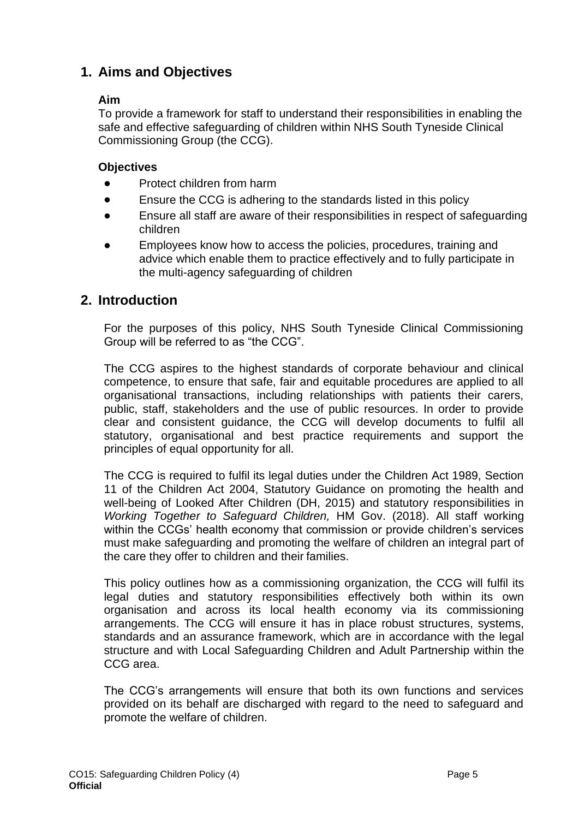## <span id="page-4-0"></span>**1. Aims and Objectives**

### **Aim**

To provide a framework for staff to understand their responsibilities in enabling the safe and effective safeguarding of children within NHS South Tyneside Clinical Commissioning Group (the CCG).

### **Objectives**

- Protect children from harm
- Ensure the CCG is adhering to the standards listed in this policy
- Ensure all staff are aware of their responsibilities in respect of safeguarding children
- Employees know how to access the policies, procedures, training and advice which enable them to practice effectively and to fully participate in the multi-agency safeguarding of children

### **2. Introduction**

For the purposes of this policy, NHS South Tyneside Clinical Commissioning Group will be referred to as "the CCG".

The CCG aspires to the highest standards of corporate behaviour and clinical competence, to ensure that safe, fair and equitable procedures are applied to all organisational transactions, including relationships with patients their carers, public, staff, stakeholders and the use of public resources. In order to provide clear and consistent guidance, the CCG will develop documents to fulfil all statutory, organisational and best practice requirements and support the principles of equal opportunity for all.

The CCG is required to fulfil its legal duties under the Children Act 1989, Section 11 of the Children Act 2004, Statutory Guidance on promoting the health and well-being of Looked After Children (DH, 2015) and statutory responsibilities in *Working Together to Safeguard Children,* HM Gov. (2018). All staff working within the CCGs' health economy that commission or provide children's services must make safeguarding and promoting the welfare of children an integral part of the care they offer to children and their families.

This policy outlines how as a commissioning organization, the CCG will fulfil its legal duties and statutory responsibilities effectively both within its own organisation and across its local health economy via its commissioning arrangements. The CCG will ensure it has in place robust structures, systems, standards and an assurance framework, which are in accordance with the legal structure and with Local Safeguarding Children and Adult Partnership within the CCG area.

The CCG's arrangements will ensure that both its own functions and services provided on its behalf are discharged with regard to the need to safeguard and promote the welfare of children.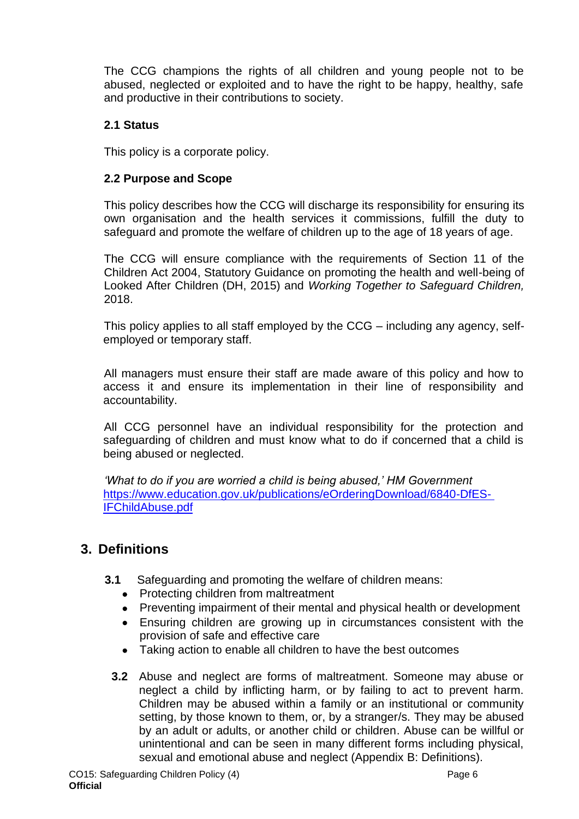The CCG champions the rights of all children and young people not to be abused, neglected or exploited and to have the right to be happy, healthy, safe and productive in their contributions to society.

### **2.1 Status**

This policy is a corporate policy.

### **2.2 Purpose and Scope**

This policy describes how the CCG will discharge its responsibility for ensuring its own organisation and the health services it commissions, fulfill the duty to safeguard and promote the welfare of children up to the age of 18 years of age.

The CCG will ensure compliance with the requirements of Section 11 of the Children Act 2004, Statutory Guidance on promoting the health and well-being of Looked After Children (DH, 2015) and *Working Together to Safeguard Children,* 2018.

This policy applies to all staff employed by the CCG – including any agency, selfemployed or temporary staff.

All managers must ensure their staff are made aware of this policy and how to access it and ensure its implementation in their line of responsibility and accountability.

All CCG personnel have an individual responsibility for the protection and safeguarding of children and must know what to do if concerned that a child is being abused or neglected.

*'What to do if you are worried a child is being abused,' HM Government*  [https://www.education.gov.uk/publications/eOrderingDownload/6840-DfES-](https://www.education.gov.uk/publications/eOrderingDownload/6840-DfES-IFChildAbuse.pdf)[IFChildAbuse.pdf](https://www.education.gov.uk/publications/eOrderingDownload/6840-DfES-IFChildAbuse.pdf)

### <span id="page-5-0"></span>**3. Definitions**

- **3.1** Safeguarding and promoting the welfare of children means:
	- Protecting children from maltreatment
	- Preventing impairment of their mental and physical health or development
	- Ensuring children are growing up in circumstances consistent with the provision of safe and effective care
	- Taking action to enable all children to have the best outcomes
	- **3.2** Abuse and neglect are forms of maltreatment. Someone may abuse or neglect a child by inflicting harm, or by failing to act to prevent harm. Children may be abused within a family or an institutional or community setting, by those known to them, or, by a stranger/s. They may be abused by an adult or adults, or another child or children. Abuse can be willful or unintentional and can be seen in many different forms including physical, sexual and emotional abuse and neglect (Appendix B: Definitions).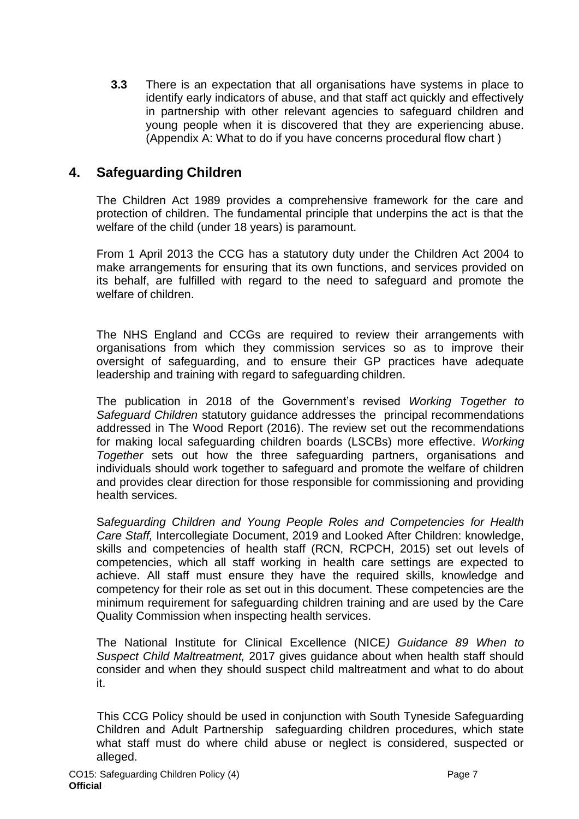**3.3** There is an expectation that all organisations have systems in place to identify early indicators of abuse, and that staff act quickly and effectively in partnership with other relevant agencies to safeguard children and young people when it is discovered that they are experiencing abuse. (Appendix A: What to do if you have concerns procedural flow chart )

### <span id="page-6-0"></span>**4. Safeguarding Children**

The Children Act 1989 provides a comprehensive framework for the care and protection of children. The fundamental principle that underpins the act is that the welfare of the child (under 18 years) is paramount.

From 1 April 2013 the CCG has a statutory duty under the Children Act 2004 to make arrangements for ensuring that its own functions, and services provided on its behalf, are fulfilled with regard to the need to safeguard and promote the welfare of children.

The NHS England and CCGs are required to review their arrangements with organisations from which they commission services so as to improve their oversight of safeguarding, and to ensure their GP practices have adequate leadership and training with regard to safeguarding children.

The publication in 2018 of the Government's revised *Working Together to Safeguard Children* statutory guidance addresses the principal recommendations addressed in The Wood Report (2016). The review set out the recommendations for making local safeguarding children boards (LSCBs) more effective. *Working Together* sets out how the three safeguarding partners, organisations and individuals should work together to safeguard and promote the welfare of children and provides clear direction for those responsible for commissioning and providing health services.

S*afeguarding Children and Young People Roles and Competencies for Health Care Staff,* Intercollegiate Document, 2019 and Looked After Children: knowledge, skills and competencies of health staff (RCN, RCPCH, 2015) set out levels of competencies, which all staff working in health care settings are expected to achieve. All staff must ensure they have the required skills, knowledge and competency for their role as set out in this document. These competencies are the minimum requirement for safeguarding children training and are used by the Care Quality Commission when inspecting health services.

The National Institute for Clinical Excellence (NICE*) Guidance 89 When to Suspect Child Maltreatment,* 2017 gives guidance about when health staff should consider and when they should suspect child maltreatment and what to do about it.

This CCG Policy should be used in conjunction with South Tyneside Safeguarding Children and Adult Partnership safeguarding children procedures, which state what staff must do where child abuse or neglect is considered, suspected or alleged.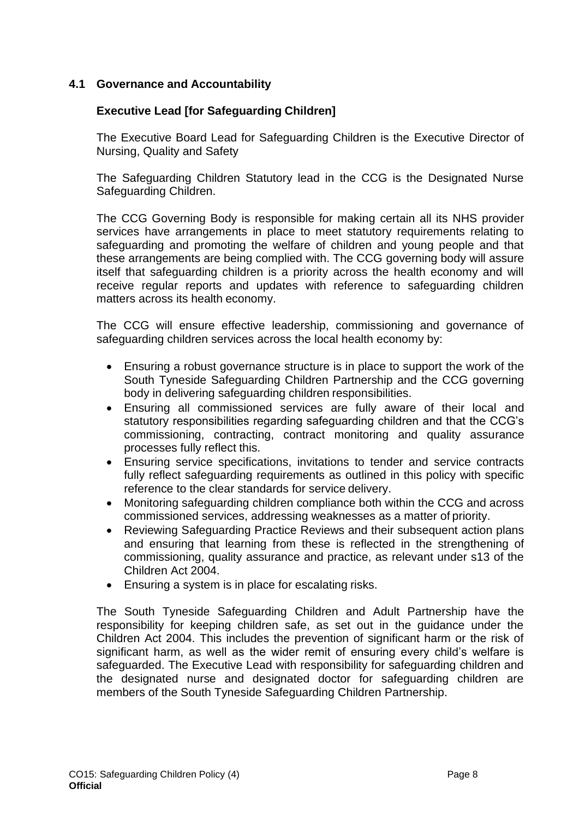#### **4.1 Governance and Accountability**

#### **Executive Lead [for Safeguarding Children]**

The Executive Board Lead for Safeguarding Children is the Executive Director of Nursing, Quality and Safety

The Safeguarding Children Statutory lead in the CCG is the Designated Nurse Safeguarding Children.

The CCG Governing Body is responsible for making certain all its NHS provider services have arrangements in place to meet statutory requirements relating to safeguarding and promoting the welfare of children and young people and that these arrangements are being complied with. The CCG governing body will assure itself that safeguarding children is a priority across the health economy and will receive regular reports and updates with reference to safeguarding children matters across its health economy.

The CCG will ensure effective leadership, commissioning and governance of safeguarding children services across the local health economy by:

- Ensuring a robust governance structure is in place to support the work of the South Tyneside Safeguarding Children Partnership and the CCG governing body in delivering safeguarding children responsibilities.
- Ensuring all commissioned services are fully aware of their local and statutory responsibilities regarding safeguarding children and that the CCG's commissioning, contracting, contract monitoring and quality assurance processes fully reflect this.
- Ensuring service specifications, invitations to tender and service contracts fully reflect safeguarding requirements as outlined in this policy with specific reference to the clear standards for service delivery.
- Monitoring safeguarding children compliance both within the CCG and across commissioned services, addressing weaknesses as a matter of priority.
- Reviewing Safeguarding Practice Reviews and their subsequent action plans and ensuring that learning from these is reflected in the strengthening of commissioning, quality assurance and practice, as relevant under s13 of the Children Act 2004.
- Ensuring a system is in place for escalating risks.

The South Tyneside Safeguarding Children and Adult Partnership have the responsibility for keeping children safe, as set out in the guidance under the Children Act 2004. This includes the prevention of significant harm or the risk of significant harm, as well as the wider remit of ensuring every child's welfare is safeguarded. The Executive Lead with responsibility for safeguarding children and the designated nurse and designated doctor for safeguarding children are members of the South Tyneside Safeguarding Children Partnership.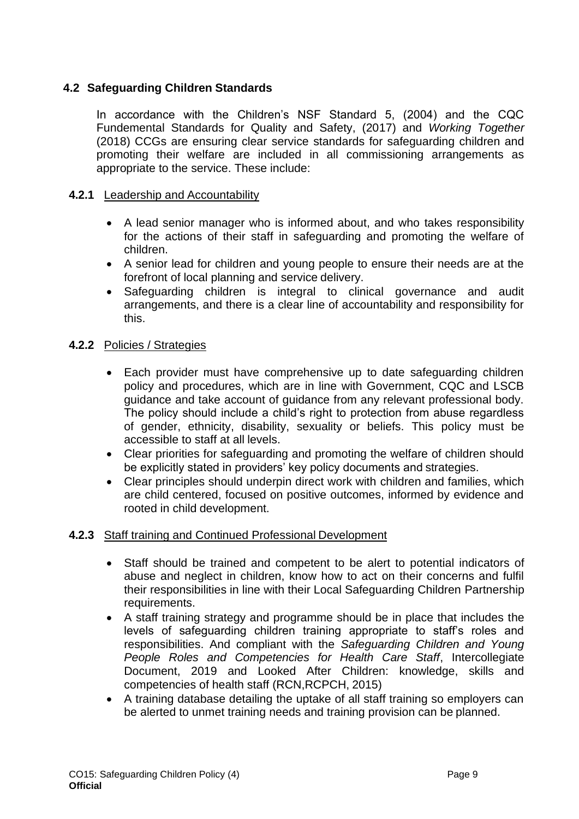### **4.2 Safeguarding Children Standards**

In accordance with the Children's NSF Standard 5, (2004) and the CQC Fundemental Standards for Quality and Safety, (2017) and *Working Together*  (2018) CCGs are ensuring clear service standards for safeguarding children and promoting their welfare are included in all commissioning arrangements as appropriate to the service. These include:

#### **4.2.1** Leadership and Accountability

- A lead senior manager who is informed about, and who takes responsibility for the actions of their staff in safeguarding and promoting the welfare of children.
- A senior lead for children and young people to ensure their needs are at the forefront of local planning and service delivery.
- Safeguarding children is integral to clinical governance and audit arrangements, and there is a clear line of accountability and responsibility for this.

#### **4.2.2** Policies / Strategies

- Each provider must have comprehensive up to date safeguarding children policy and procedures, which are in line with Government, CQC and LSCB guidance and take account of guidance from any relevant professional body. The policy should include a child's right to protection from abuse regardless of gender, ethnicity, disability, sexuality or beliefs. This policy must be accessible to staff at all levels.
- Clear priorities for safeguarding and promoting the welfare of children should be explicitly stated in providers' key policy documents and strategies.
- Clear principles should underpin direct work with children and families, which are child centered, focused on positive outcomes, informed by evidence and rooted in child development.

#### **4.2.3** Staff training and Continued Professional Development

- Staff should be trained and competent to be alert to potential indicators of abuse and neglect in children, know how to act on their concerns and fulfil their responsibilities in line with their Local Safeguarding Children Partnership requirements.
- A staff training strategy and programme should be in place that includes the levels of safeguarding children training appropriate to staff's roles and responsibilities. And compliant with the *Safeguarding Children and Young People Roles and Competencies for Health Care Staff*, Intercollegiate Document, 2019 and Looked After Children: knowledge, skills and competencies of health staff (RCN,RCPCH, 2015)
- A training database detailing the uptake of all staff training so employers can be alerted to unmet training needs and training provision can be planned.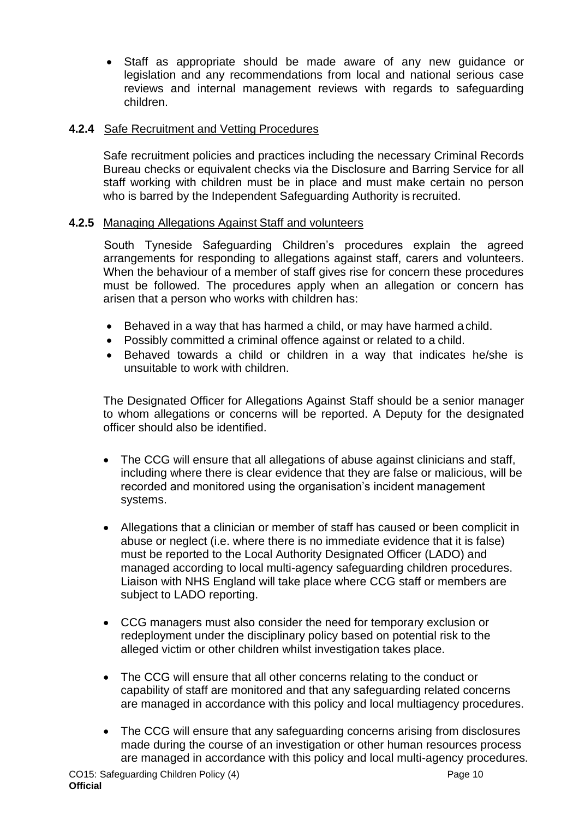• Staff as appropriate should be made aware of any new guidance or legislation and any recommendations from local and national serious case reviews and internal management reviews with regards to safeguarding children.

#### **4.2.4** Safe Recruitment and Vetting Procedures

Safe recruitment policies and practices including the necessary Criminal Records Bureau checks or equivalent checks via the Disclosure and Barring Service for all staff working with children must be in place and must make certain no person who is barred by the Independent Safeguarding Authority is recruited.

#### **4.2.5** Managing Allegations Against Staff and volunteers

South Tyneside Safeguarding Children's procedures explain the agreed arrangements for responding to allegations against staff, carers and volunteers. When the behaviour of a member of staff gives rise for concern these procedures must be followed. The procedures apply when an allegation or concern has arisen that a person who works with children has:

- Behaved in a way that has harmed a child, or may have harmed a child.
- Possibly committed a criminal offence against or related to a child.
- Behaved towards a child or children in a way that indicates he/she is unsuitable to work with children.

The Designated Officer for Allegations Against Staff should be a senior manager to whom allegations or concerns will be reported. A Deputy for the designated officer should also be identified.

- The CCG will ensure that all allegations of abuse against clinicians and staff, including where there is clear evidence that they are false or malicious, will be recorded and monitored using the organisation's incident management systems.
- Allegations that a clinician or member of staff has caused or been complicit in abuse or neglect (i.e. where there is no immediate evidence that it is false) must be reported to the Local Authority Designated Officer (LADO) and managed according to local multi-agency safeguarding children procedures. Liaison with NHS England will take place where CCG staff or members are subject to LADO reporting.
- CCG managers must also consider the need for temporary exclusion or redeployment under the disciplinary policy based on potential risk to the alleged victim or other children whilst investigation takes place.
- The CCG will ensure that all other concerns relating to the conduct or capability of staff are monitored and that any safeguarding related concerns are managed in accordance with this policy and local multiagency procedures.
- The CCG will ensure that any safeguarding concerns arising from disclosures made during the course of an investigation or other human resources process are managed in accordance with this policy and local multi-agency procedures.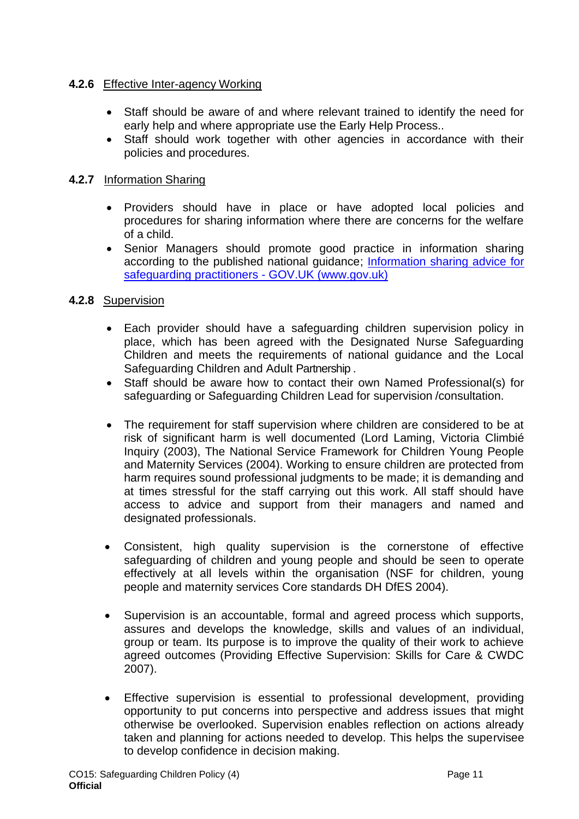### **4.2.6** Effective Inter-agency Working

- Staff should be aware of and where relevant trained to identify the need for early help and where appropriate use the Early Help Process..
- Staff should work together with other agencies in accordance with their policies and procedures.

### **4.2.7** Information Sharing

- Providers should have in place or have adopted local policies and procedures for sharing information where there are concerns for the welfare of a child.
- Senior Managers should promote good practice in information sharing according to the published national guidance; [Information sharing advice for](https://www.gov.uk/government/publications/safeguarding-practitioners-information-sharing-advice)  [safeguarding practitioners -](https://www.gov.uk/government/publications/safeguarding-practitioners-information-sharing-advice) GOV.UK (www.gov.uk)

### **4.2.8** Supervision

- Each provider should have a safeguarding children supervision policy in place, which has been agreed with the Designated Nurse Safeguarding Children and meets the requirements of national guidance and the Local Safeguarding Children and Adult Partnership .
- Staff should be aware how to contact their own Named Professional(s) for safeguarding or Safeguarding Children Lead for supervision /consultation.
- The requirement for staff supervision where children are considered to be at risk of significant harm is well documented (Lord Laming, Victoria Climbié Inquiry (2003), The National Service Framework for Children Young People and Maternity Services (2004). Working to ensure children are protected from harm requires sound professional judgments to be made; it is demanding and at times stressful for the staff carrying out this work. All staff should have access to advice and support from their managers and named and designated professionals.
- Consistent, high quality supervision is the cornerstone of effective safeguarding of children and young people and should be seen to operate effectively at all levels within the organisation (NSF for children, young people and maternity services Core standards DH DfES 2004).
- Supervision is an accountable, formal and agreed process which supports, assures and develops the knowledge, skills and values of an individual, group or team. Its purpose is to improve the quality of their work to achieve agreed outcomes (Providing Effective Supervision: Skills for Care & CWDC 2007).
- Effective supervision is essential to professional development, providing opportunity to put concerns into perspective and address issues that might otherwise be overlooked. Supervision enables reflection on actions already taken and planning for actions needed to develop. This helps the supervisee to develop confidence in decision making.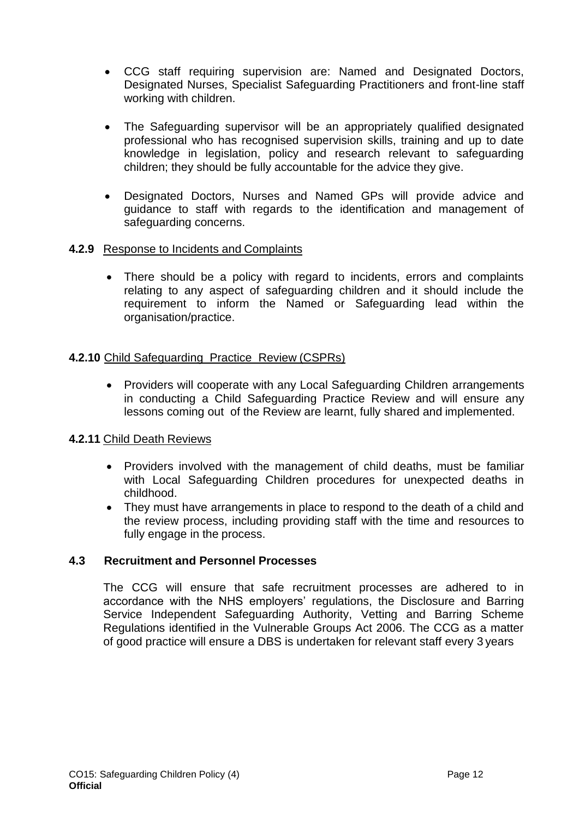- CCG staff requiring supervision are: Named and Designated Doctors, Designated Nurses, Specialist Safeguarding Practitioners and front-line staff working with children.
- The Safeguarding supervisor will be an appropriately qualified designated professional who has recognised supervision skills, training and up to date knowledge in legislation, policy and research relevant to safeguarding children; they should be fully accountable for the advice they give.
- Designated Doctors, Nurses and Named GPs will provide advice and guidance to staff with regards to the identification and management of safeguarding concerns.

#### **4.2.9** Response to Incidents and Complaints

• There should be a policy with regard to incidents, errors and complaints relating to any aspect of safeguarding children and it should include the requirement to inform the Named or Safeguarding lead within the organisation/practice.

#### **4.2.10** Child Safeguarding Practice Review (CSPRs)

• Providers will cooperate with any Local Safeguarding Children arrangements in conducting a Child Safeguarding Practice Review and will ensure any lessons coming out of the Review are learnt, fully shared and implemented.

#### **4.2.11** Child Death Reviews

- Providers involved with the management of child deaths, must be familiar with Local Safeguarding Children procedures for unexpected deaths in childhood.
- They must have arrangements in place to respond to the death of a child and the review process, including providing staff with the time and resources to fully engage in the process.

#### **4.3 Recruitment and Personnel Processes**

The CCG will ensure that safe recruitment processes are adhered to in accordance with the NHS employers' regulations, the Disclosure and Barring Service Independent Safeguarding Authority, Vetting and Barring Scheme Regulations identified in the Vulnerable Groups Act 2006. The CCG as a matter of good practice will ensure a DBS is undertaken for relevant staff every 3 years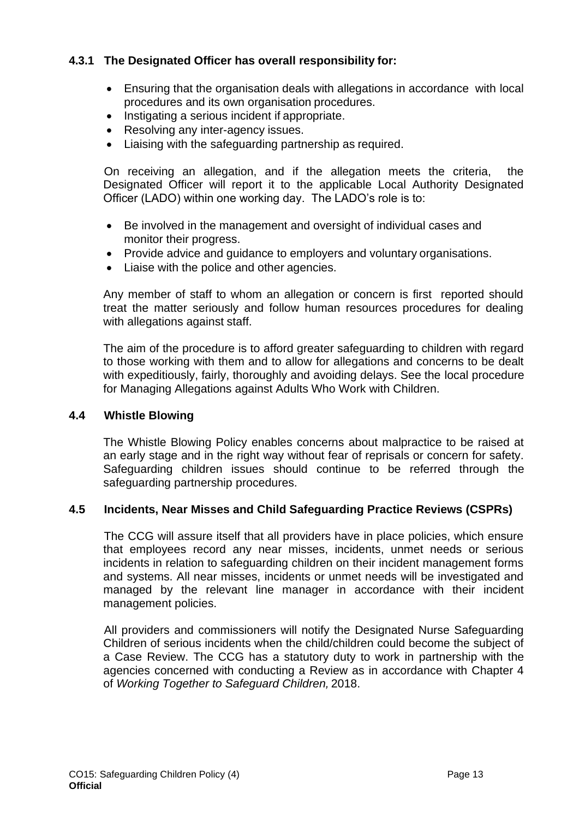#### **4.3.1 The Designated Officer has overall responsibility for:**

- Ensuring that the organisation deals with allegations in accordance with local procedures and its own organisation procedures.
- Instigating a serious incident if appropriate.
- Resolving any inter-agency issues.
- Liaising with the safeguarding partnership as required.

On receiving an allegation, and if the allegation meets the criteria, the Designated Officer will report it to the applicable Local Authority Designated Officer (LADO) within one working day. The LADO's role is to:

- Be involved in the management and oversight of individual cases and monitor their progress.
- Provide advice and guidance to employers and voluntary organisations.
- Liaise with the police and other agencies.

Any member of staff to whom an allegation or concern is first reported should treat the matter seriously and follow human resources procedures for dealing with allegations against staff.

The aim of the procedure is to afford greater safeguarding to children with regard to those working with them and to allow for allegations and concerns to be dealt with expeditiously, fairly, thoroughly and avoiding delays. See the local procedure for Managing Allegations against Adults Who Work with Children.

#### **4.4 Whistle Blowing**

The Whistle Blowing Policy enables concerns about malpractice to be raised at an early stage and in the right way without fear of reprisals or concern for safety. Safeguarding children issues should continue to be referred through the safeguarding partnership procedures.

#### **4.5 Incidents, Near Misses and Child Safeguarding Practice Reviews (CSPRs)**

The CCG will assure itself that all providers have in place policies, which ensure that employees record any near misses, incidents, unmet needs or serious incidents in relation to safeguarding children on their incident management forms and systems. All near misses, incidents or unmet needs will be investigated and managed by the relevant line manager in accordance with their incident management policies.

All providers and commissioners will notify the Designated Nurse Safeguarding Children of serious incidents when the child/children could become the subject of a Case Review. The CCG has a statutory duty to work in partnership with the agencies concerned with conducting a Review as in accordance with Chapter 4 of *Working Together to Safeguard Children,* 2018.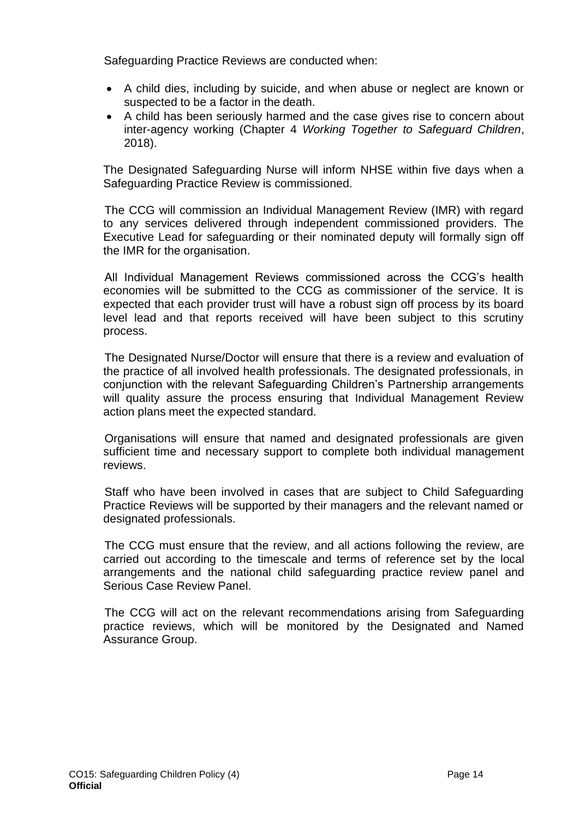Safeguarding Practice Reviews are conducted when:

- A child dies, including by suicide, and when abuse or neglect are known or suspected to be a factor in the death.
- A child has been seriously harmed and the case gives rise to concern about inter-agency working (Chapter 4 *Working Together to Safeguard Children*, 2018).

The Designated Safeguarding Nurse will inform NHSE within five days when a Safeguarding Practice Review is commissioned.

The CCG will commission an Individual Management Review (IMR) with regard to any services delivered through independent commissioned providers. The Executive Lead for safeguarding or their nominated deputy will formally sign off the IMR for the organisation.

All Individual Management Reviews commissioned across the CCG's health economies will be submitted to the CCG as commissioner of the service. It is expected that each provider trust will have a robust sign off process by its board level lead and that reports received will have been subject to this scrutiny process.

The Designated Nurse/Doctor will ensure that there is a review and evaluation of the practice of all involved health professionals. The designated professionals, in conjunction with the relevant Safeguarding Children's Partnership arrangements will quality assure the process ensuring that Individual Management Review action plans meet the expected standard.

Organisations will ensure that named and designated professionals are given sufficient time and necessary support to complete both individual management reviews.

Staff who have been involved in cases that are subject to Child Safeguarding Practice Reviews will be supported by their managers and the relevant named or designated professionals.

The CCG must ensure that the review, and all actions following the review, are carried out according to the timescale and terms of reference set by the local arrangements and the national child safeguarding practice review panel and Serious Case Review Panel.

The CCG will act on the relevant recommendations arising from Safeguarding practice reviews, which will be monitored by the Designated and Named Assurance Group.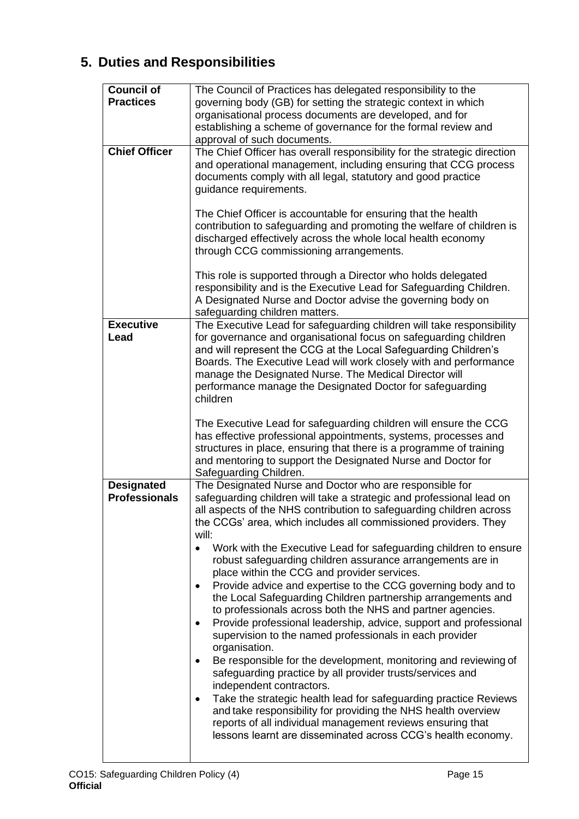# <span id="page-14-0"></span>**5. Duties and Responsibilities**

| <b>Council of</b><br><b>Practices</b>     | The Council of Practices has delegated responsibility to the<br>governing body (GB) for setting the strategic context in which<br>organisational process documents are developed, and for<br>establishing a scheme of governance for the formal review and<br>approval of such documents.                                                                                                                            |
|-------------------------------------------|----------------------------------------------------------------------------------------------------------------------------------------------------------------------------------------------------------------------------------------------------------------------------------------------------------------------------------------------------------------------------------------------------------------------|
| <b>Chief Officer</b>                      | The Chief Officer has overall responsibility for the strategic direction<br>and operational management, including ensuring that CCG process<br>documents comply with all legal, statutory and good practice<br>guidance requirements.                                                                                                                                                                                |
|                                           | The Chief Officer is accountable for ensuring that the health<br>contribution to safeguarding and promoting the welfare of children is<br>discharged effectively across the whole local health economy<br>through CCG commissioning arrangements.                                                                                                                                                                    |
|                                           | This role is supported through a Director who holds delegated<br>responsibility and is the Executive Lead for Safeguarding Children.<br>A Designated Nurse and Doctor advise the governing body on<br>safeguarding children matters.                                                                                                                                                                                 |
| <b>Executive</b><br>Lead                  | The Executive Lead for safeguarding children will take responsibility<br>for governance and organisational focus on safeguarding children<br>and will represent the CCG at the Local Safeguarding Children's<br>Boards. The Executive Lead will work closely with and performance<br>manage the Designated Nurse. The Medical Director will<br>performance manage the Designated Doctor for safeguarding<br>children |
|                                           | The Executive Lead for safeguarding children will ensure the CCG<br>has effective professional appointments, systems, processes and<br>structures in place, ensuring that there is a programme of training<br>and mentoring to support the Designated Nurse and Doctor for<br>Safeguarding Children.                                                                                                                 |
| <b>Designated</b><br><b>Professionals</b> | The Designated Nurse and Doctor who are responsible for<br>safeguarding children will take a strategic and professional lead on<br>all aspects of the NHS contribution to safeguarding children across<br>the CCGs' area, which includes all commissioned providers. They<br>will:                                                                                                                                   |
|                                           | Work with the Executive Lead for safeguarding children to ensure<br>robust safeguarding children assurance arrangements are in<br>place within the CCG and provider services.                                                                                                                                                                                                                                        |
|                                           | Provide advice and expertise to the CCG governing body and to<br>the Local Safeguarding Children partnership arrangements and<br>to professionals across both the NHS and partner agencies.<br>Provide professional leadership, advice, support and professional<br>supervision to the named professionals in each provider<br>organisation.                                                                         |
|                                           | Be responsible for the development, monitoring and reviewing of<br>safeguarding practice by all provider trusts/services and<br>independent contractors.                                                                                                                                                                                                                                                             |
|                                           | Take the strategic health lead for safeguarding practice Reviews<br>٠<br>and take responsibility for providing the NHS health overview<br>reports of all individual management reviews ensuring that<br>lessons learnt are disseminated across CCG's health economy.                                                                                                                                                 |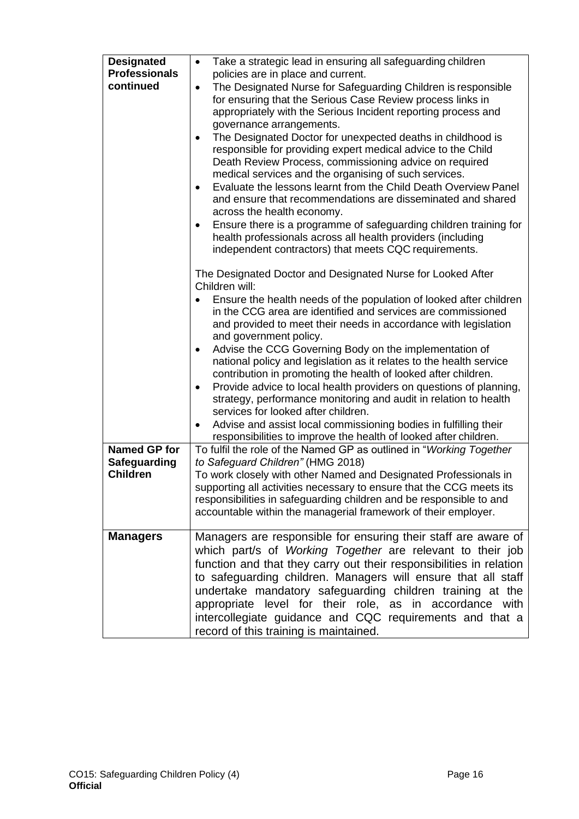| <b>Designated</b><br><b>Professionals</b><br>continued | Take a strategic lead in ensuring all safeguarding children<br>$\bullet$<br>policies are in place and current.<br>The Designated Nurse for Safeguarding Children is responsible<br>$\bullet$<br>for ensuring that the Serious Case Review process links in                                                                                                                                                                                                                                         |
|--------------------------------------------------------|----------------------------------------------------------------------------------------------------------------------------------------------------------------------------------------------------------------------------------------------------------------------------------------------------------------------------------------------------------------------------------------------------------------------------------------------------------------------------------------------------|
|                                                        | appropriately with the Serious Incident reporting process and<br>governance arrangements.<br>The Designated Doctor for unexpected deaths in childhood is<br>$\bullet$<br>responsible for providing expert medical advice to the Child<br>Death Review Process, commissioning advice on required<br>medical services and the organising of such services.                                                                                                                                           |
|                                                        | Evaluate the lessons learnt from the Child Death Overview Panel<br>$\bullet$<br>and ensure that recommendations are disseminated and shared<br>across the health economy.                                                                                                                                                                                                                                                                                                                          |
|                                                        | Ensure there is a programme of safeguarding children training for<br>$\bullet$<br>health professionals across all health providers (including<br>independent contractors) that meets CQC requirements.                                                                                                                                                                                                                                                                                             |
|                                                        | The Designated Doctor and Designated Nurse for Looked After<br>Children will:<br>Ensure the health needs of the population of looked after children<br>in the CCG area are identified and services are commissioned                                                                                                                                                                                                                                                                                |
|                                                        | and provided to meet their needs in accordance with legislation<br>and government policy.<br>Advise the CCG Governing Body on the implementation of<br>$\bullet$<br>national policy and legislation as it relates to the health service                                                                                                                                                                                                                                                            |
|                                                        | contribution in promoting the health of looked after children.<br>Provide advice to local health providers on questions of planning,<br>$\bullet$<br>strategy, performance monitoring and audit in relation to health<br>services for looked after children.                                                                                                                                                                                                                                       |
|                                                        | Advise and assist local commissioning bodies in fulfilling their<br>$\bullet$<br>responsibilities to improve the health of looked after children.                                                                                                                                                                                                                                                                                                                                                  |
| <b>Named GP for</b><br><b>Safeguarding</b>             | To fulfil the role of the Named GP as outlined in "Working Together<br>to Safeguard Children" (HMG 2018)                                                                                                                                                                                                                                                                                                                                                                                           |
| <b>Children</b>                                        | To work closely with other Named and Designated Professionals in<br>supporting all activities necessary to ensure that the CCG meets its<br>responsibilities in safeguarding children and be responsible to and<br>accountable within the managerial framework of their employer.                                                                                                                                                                                                                  |
| <b>Managers</b>                                        | Managers are responsible for ensuring their staff are aware of<br>which part/s of Working Together are relevant to their job<br>function and that they carry out their responsibilities in relation<br>to safeguarding children. Managers will ensure that all staff<br>undertake mandatory safeguarding children training at the<br>appropriate level for their role, as in accordance with<br>intercollegiate guidance and CQC requirements and that a<br>record of this training is maintained. |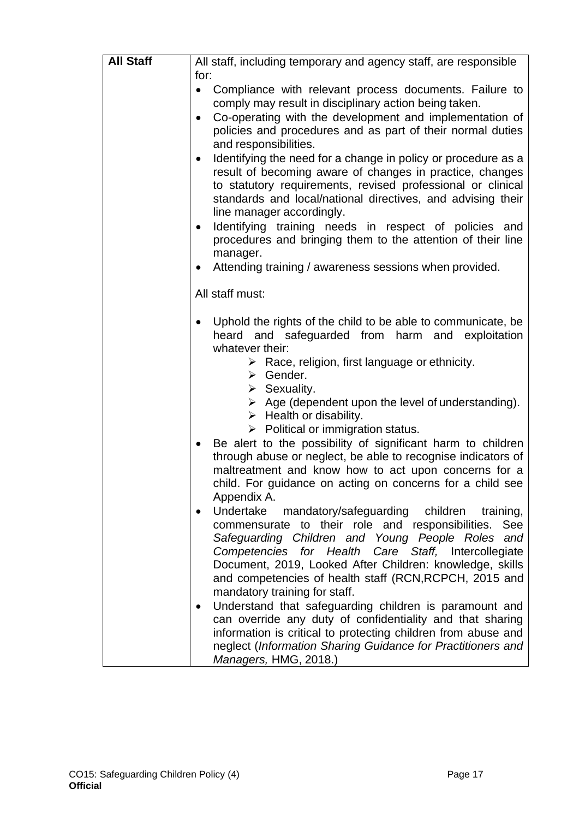| <b>All Staff</b> | All staff, including temporary and agency staff, are responsible                                                        |
|------------------|-------------------------------------------------------------------------------------------------------------------------|
|                  | for:                                                                                                                    |
|                  | Compliance with relevant process documents. Failure to<br>$\bullet$                                                     |
|                  | comply may result in disciplinary action being taken.                                                                   |
|                  | Co-operating with the development and implementation of                                                                 |
|                  | policies and procedures and as part of their normal duties                                                              |
|                  | and responsibilities.                                                                                                   |
|                  | Identifying the need for a change in policy or procedure as a<br>$\bullet$                                              |
|                  | result of becoming aware of changes in practice, changes<br>to statutory requirements, revised professional or clinical |
|                  | standards and local/national directives, and advising their                                                             |
|                  | line manager accordingly.                                                                                               |
|                  | Identifying training needs in respect of policies and<br>$\bullet$                                                      |
|                  | procedures and bringing them to the attention of their line                                                             |
|                  | manager.                                                                                                                |
|                  | Attending training / awareness sessions when provided.                                                                  |
|                  | All staff must:                                                                                                         |
|                  |                                                                                                                         |
|                  | Uphold the rights of the child to be able to communicate, be                                                            |
|                  | heard and safeguarded from harm and exploitation<br>whatever their:                                                     |
|                  | > Race, religion, first language or ethnicity.                                                                          |
|                  | $\triangleright$ Gender.                                                                                                |
|                  | $\triangleright$ Sexuality.                                                                                             |
|                  | $\triangleright$ Age (dependent upon the level of understanding).                                                       |
|                  | $\triangleright$ Health or disability.                                                                                  |
|                  | $\triangleright$ Political or immigration status.                                                                       |
|                  | Be alert to the possibility of significant harm to children                                                             |
|                  | through abuse or neglect, be able to recognise indicators of                                                            |
|                  | maltreatment and know how to act upon concerns for a<br>child. For guidance on acting on concerns for a child see       |
|                  | Appendix A.                                                                                                             |
|                  | Undertake<br>mandatory/safeguarding children<br>training,                                                               |
|                  | commensurate to their role and responsibilities.<br>See                                                                 |
|                  | Safeguarding Children and Young People Roles<br>and                                                                     |
|                  | Competencies for Health Care Staff, Intercollegiate                                                                     |
|                  | Document, 2019, Looked After Children: knowledge, skills                                                                |
|                  | and competencies of health staff (RCN, RCPCH, 2015 and<br>mandatory training for staff.                                 |
|                  | Understand that safeguarding children is paramount and                                                                  |
|                  | can override any duty of confidentiality and that sharing                                                               |
|                  | information is critical to protecting children from abuse and                                                           |
|                  | neglect (Information Sharing Guidance for Practitioners and                                                             |
|                  | Managers, HMG, 2018.)                                                                                                   |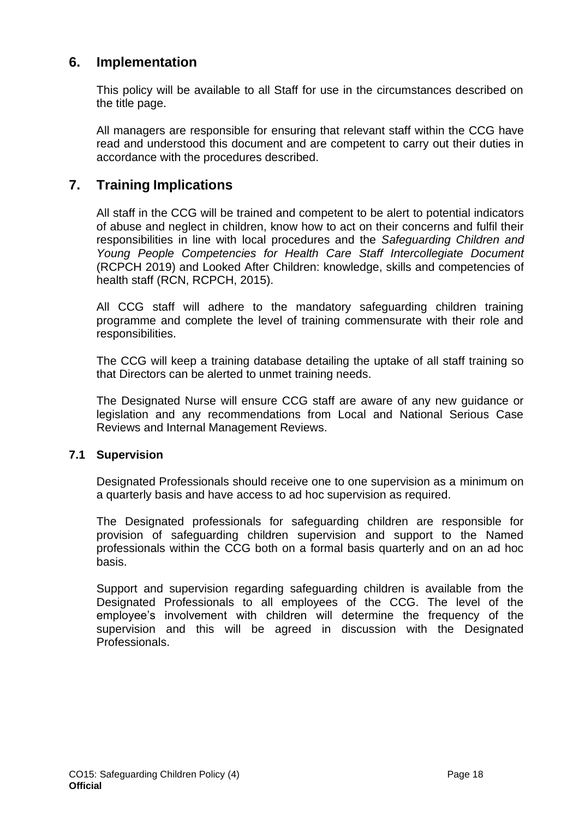### <span id="page-17-0"></span>**6. Implementation**

This policy will be available to all Staff for use in the circumstances described on the title page.

All managers are responsible for ensuring that relevant staff within the CCG have read and understood this document and are competent to carry out their duties in accordance with the procedures described.

### <span id="page-17-1"></span>**7. Training Implications**

All staff in the CCG will be trained and competent to be alert to potential indicators of abuse and neglect in children, know how to act on their concerns and fulfil their responsibilities in line with local procedures and the *Safeguarding Children and Young People Competencies for Health Care Staff Intercollegiate Document*  (RCPCH 2019) and Looked After Children: knowledge, skills and competencies of health staff (RCN, RCPCH, 2015).

All CCG staff will adhere to the mandatory safeguarding children training programme and complete the level of training commensurate with their role and responsibilities.

The CCG will keep a training database detailing the uptake of all staff training so that Directors can be alerted to unmet training needs.

The Designated Nurse will ensure CCG staff are aware of any new guidance or legislation and any recommendations from Local and National Serious Case Reviews and Internal Management Reviews.

#### **7.1 Supervision**

Designated Professionals should receive one to one supervision as a minimum on a quarterly basis and have access to ad hoc supervision as required.

The Designated professionals for safeguarding children are responsible for provision of safeguarding children supervision and support to the Named professionals within the CCG both on a formal basis quarterly and on an ad hoc basis.

Support and supervision regarding safeguarding children is available from the Designated Professionals to all employees of the CCG. The level of the employee's involvement with children will determine the frequency of the supervision and this will be agreed in discussion with the Designated Professionals.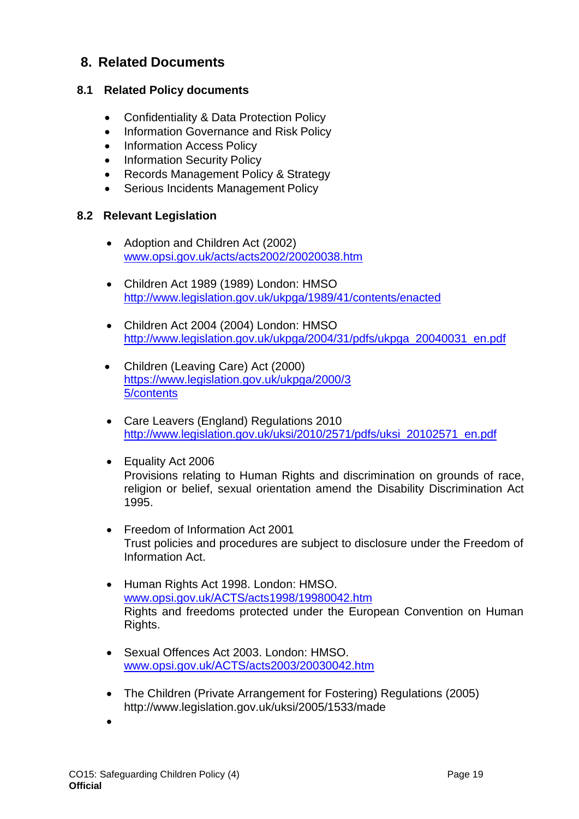### <span id="page-18-0"></span>**8. Related Documents**

#### **8.1 Related Policy documents**

- Confidentiality & Data Protection Policy
- Information Governance and Risk Policy
- Information Access Policy
- Information Security Policy
- Records Management Policy & Strategy
- Serious Incidents Management Policy

#### **8.2 Relevant Legislation**

- Adoption and Children Act (2002) [www.opsi.gov.uk/acts/acts2002/20020038.htm](http://www.opsi.gov.uk/acts/acts2002/20020038.htm)
- Children Act 1989 (1989) London: HMSO <http://www.legislation.gov.uk/ukpga/1989/41/contents/enacted>
- Children Act 2004 (2004) London: HMSO [http://www.legislation.gov.uk/ukpga/2004/31/pdfs/ukpga\\_20040031\\_en.pdf](http://www.legislation.gov.uk/ukpga/2004/31/pdfs/ukpga_20040031_en.pdf)
- Children (Leaving Care) Act (2000) https://www.legislation.gov.uk/ukpga/2000/3 5/contents
- Care Leavers (England) Regulations 2010 [http://www.legislation.gov.uk/uksi/2010/2571/pdfs/uksi\\_20102571\\_en.pdf](http://www.legislation.gov.uk/uksi/2010/2571/pdfs/uksi_20102571_en.pdf)
- Equality Act 2006 Provisions relating to Human Rights and discrimination on grounds of race, religion or belief, sexual orientation amend the Disability Discrimination Act 1995.
- Freedom of Information Act 2001 Trust policies and procedures are subject to disclosure under the Freedom of Information Act.
- Human Rights Act 1998. London: HMSO. [www.opsi.gov.uk/ACTS/acts1998/19980042.htm](http://www.opsi.gov.uk/ACTS/acts1998/19980042.htm) Rights and freedoms protected under the European Convention on Human Rights.
- Sexual Offences Act 2003. London: HMSO. [www.opsi.gov.uk/ACTS/acts2003/20030042.htm](http://www.opsi.gov.uk/ACTS/acts2003/20030042.htm)
- The Children (Private Arrangement for Fostering) Regulations (2005) http://www.legislation.gov.uk/uksi/2005/1533/made
- •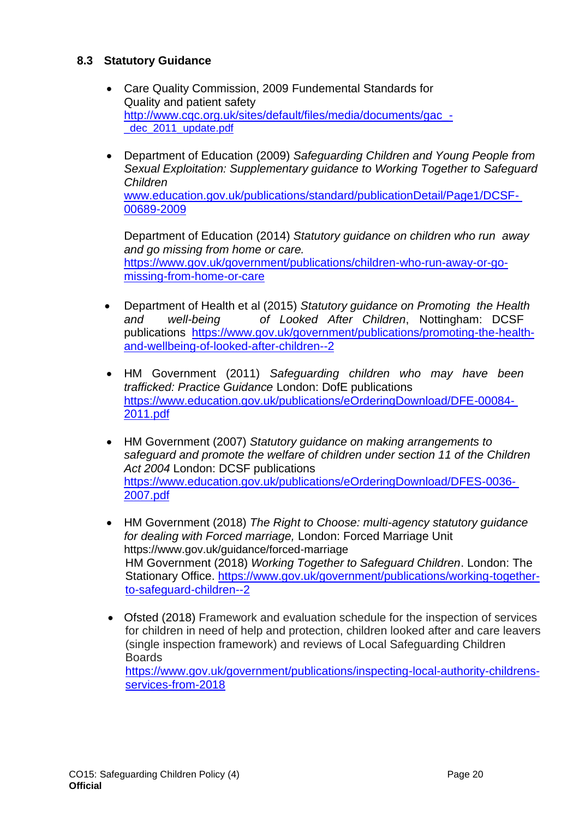#### **8.3 Statutory Guidance**

- Care Quality Commission, 2009 Fundemental Standards for Quality and patient safety http://www.cqc.org.uk/sites/default/files/media/documents/gac dec 2011 update.pdf
- Department of Education (2009) *Safeguarding Children and Young People from Sexual Exploitation: Supplementary guidance to Working Together to Safeguard Children*  [www.education.gov.uk/publications/standard/publicationDetail/Page1/DCSF-](http://www.education.gov.uk/publications/standard/publicationDetail/Page1/DCSF-00689-2009)[00689-2009](http://www.education.gov.uk/publications/standard/publicationDetail/Page1/DCSF-00689-2009)

Department of Education (2014) *Statutory guidance on children who run away and go missing from home or care.*  [https://www.gov.uk/government/publications/children-who-run-away-or-go](https://www.gov.uk/government/publications/children-who-run-away-or-go-missing-from-home-or-care)[missing-from-home-or-care](https://www.gov.uk/government/publications/children-who-run-away-or-go-missing-from-home-or-care)

- Department of Health et al (2015) *Statutory guidance on Promoting the Health and well-being of Looked After Children*, Nottingham: DCSF publications https://www.gov.uk/government/publications/promoting-the-healthand-wellbeing-of-looked-after-children--2
- HM Government (2011) *Safeguarding children who may have been trafficked: Practice Guidance* London: DofE publications [https://www.education.gov.uk/publications/eOrderingDownload/DFE-00084-](https://www.education.gov.uk/publications/eOrderingDownload/DFE-00084-2011.pdf) [2011.pdf](https://www.education.gov.uk/publications/eOrderingDownload/DFE-00084-2011.pdf)
- HM Government (2007) *Statutory guidance on making arrangements to safeguard and promote the welfare of children under section 11 of the Children Act 2004* London: DCSF publications [https://www.education.gov.uk/publications/eOrderingDownload/DFES-0036-](https://www.education.gov.uk/publications/eOrderingDownload/DFES-0036-2007.pdf) [2007.pdf](https://www.education.gov.uk/publications/eOrderingDownload/DFES-0036-2007.pdf)
- HM Government (2018) *The Right to Choose: multi-agency statutory guidance for dealing with Forced marriage,* London: Forced Marriage Unit https://www.gov.uk/guidance/forced-marriage HM Government (2018) *Working Together to Safeguard Children*. London: The Stationary Office. [https://www.gov.uk/government/publications/working-together](https://www.gov.uk/government/publications/working-together-to-safeguard-children--2)[to-safeguard-children--2](https://www.gov.uk/government/publications/working-together-to-safeguard-children--2)
- Ofsted (2018) Framework and evaluation schedule for the inspection of services for children in need of help and protection, children looked after and care leavers (single inspection framework) and reviews of Local Safeguarding Children Boards [https://www.gov.uk/government/publications/inspecting-local-authority-childrens](https://www.gov.uk/government/publications/inspecting-local-authority-childrens-services-from-2018)[services-from-2018](https://www.gov.uk/government/publications/inspecting-local-authority-childrens-services-from-2018)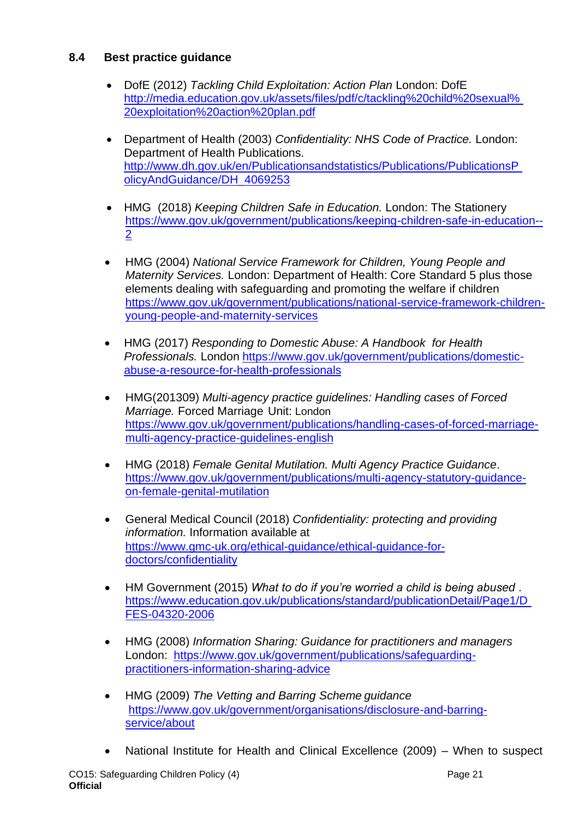### **8.4 Best practice guidance**

- DofE (2012) *Tackling Child Exploitation: Action Plan* London: DofE [http://media.education.gov.uk/assets/files/pdf/c/tackling%20child%20sexual%](http://media.education.gov.uk/assets/files/pdf/c/tackling%20child%20sexual%20exploitation%20action%20plan.pdf)  [20exploitation%20action%20plan.pdf](http://media.education.gov.uk/assets/files/pdf/c/tackling%20child%20sexual%20exploitation%20action%20plan.pdf)
- Department of Health (2003) *Confidentiality: NHS Code of Practice.* London: Department of Health Publications. [http://www.dh.gov.uk/en/Publicationsandstatistics/Publications/PublicationsP](http://www.dh.gov.uk/en/Publicationsandstatistics/Publications/PublicationsPolicyAndGuidance/DH_4069253)  [olicyAndGuidance/DH\\_4069253](http://www.dh.gov.uk/en/Publicationsandstatistics/Publications/PublicationsPolicyAndGuidance/DH_4069253)
- HMG (2018) *Keeping Children Safe in Education.* London: The Stationery [https://www.gov.uk/government/publications/keeping-children-safe-in-education--](https://www.gov.uk/government/publications/keeping-children-safe-in-education--2) [2](https://www.gov.uk/government/publications/keeping-children-safe-in-education--2)
- HMG (2004) *National Service Framework for Children, Young People and Maternity Services.* London: Department of Health: Core Standard 5 plus those elements dealing with safeguarding and promoting the welfare if children [https://www.gov.uk/government/publications/national-service-framework-children](https://www.gov.uk/government/publications/national-service-framework-children-young-people-and-maternity-services)[young-people-and-maternity-services](https://www.gov.uk/government/publications/national-service-framework-children-young-people-and-maternity-services)
- HMG (2017) *Responding to Domestic Abuse: A Handbook for Health Professionals.* London [https://www.gov.uk/government/publications/domestic](https://www.gov.uk/government/publications/domestic-abuse-a-resource-for-health-professionals)[abuse-a-resource-for-health-professionals](https://www.gov.uk/government/publications/domestic-abuse-a-resource-for-health-professionals)
- HMG(201309) *Multi-agency practice guidelines: Handling cases of Forced Marriage.* Forced Marriage Unit: London [https://www.gov.uk/government/publications/handling-cases-of-forced-marriage](https://www.gov.uk/government/publications/handling-cases-of-forced-marriage-multi-agency-practice-guidelines-english)[multi-agency-practice-guidelines-english](https://www.gov.uk/government/publications/handling-cases-of-forced-marriage-multi-agency-practice-guidelines-english)
- HMG (2018) *Female Genital Mutilation. Multi Agency Practice Guidance*. [https://www.gov.uk/government/publications/multi-agency-statutory-guidance](https://www.gov.uk/government/publications/multi-agency-statutory-guidance-on-female-genital-mutilation)[on-female-genital-mutilation](https://www.gov.uk/government/publications/multi-agency-statutory-guidance-on-female-genital-mutilation)
- General Medical Council (2018) *Confidentiality: protecting and providing information.* Information available at [https://www.gmc-uk.org/ethical-guidance/ethical-guidance-for](https://www.gmc-uk.org/ethical-guidance/ethical-guidance-for-doctors/confidentiality)[doctors/confidentiality](https://www.gmc-uk.org/ethical-guidance/ethical-guidance-for-doctors/confidentiality)
- HM Government (2015) *What to do if you're worried a child is being abused* . [https://www.education.gov.uk/publications/standard/publicationDetail/Page1/D](https://www.education.gov.uk/publications/standard/publicationDetail/Page1/DFES-04320-2006)  [FES-04320-2006](https://www.education.gov.uk/publications/standard/publicationDetail/Page1/DFES-04320-2006)
- HMG (2008) *Information Sharing: Guidance for practitioners and managers*  London: https://www.gov.uk/government/publications/safeguardingpractitioners-information-sharing-advice
- HMG (2009) *The Vetting and Barring Scheme guidance* [https://www.gov.uk/government/organisations/disclosure-and-barring](https://www.gov.uk/government/organisations/disclosure-and-barring-service/about)[service/about](https://www.gov.uk/government/organisations/disclosure-and-barring-service/about)
- National Institute for Health and Clinical Excellence (2009) When to suspect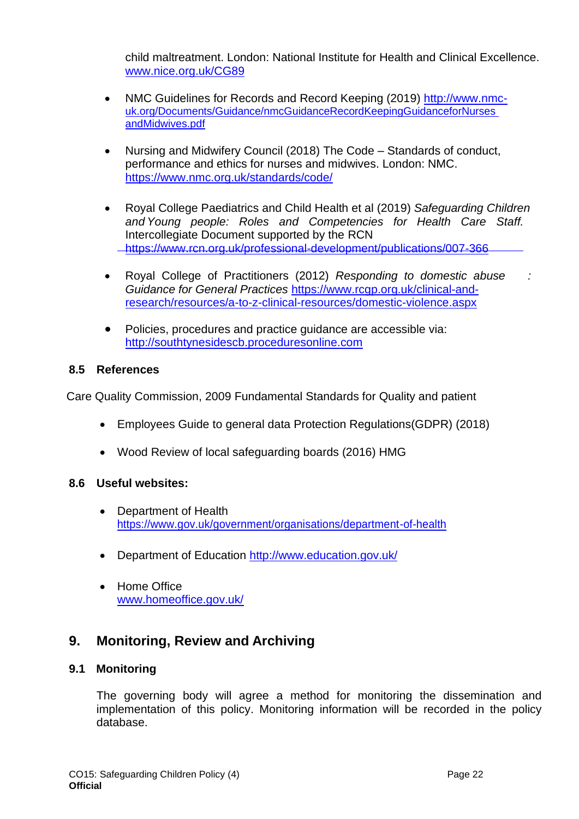child maltreatment. London: National Institute for Health and Clinical Excellence. [www.nice.org.uk/CG89](http://www.nice.org.uk/CG89)

- NMC Guidelines for Records and Record Keeping (2019) [http://www.nmc](http://www.nmc-uk.org/Documents/Guidance/nmcGuidanceRecordKeepingGuidanceforNursesandMidwives.pdf)[uk.org/Documents/Guidance/nmcGuidanceRecordKeepingGuidanceforNurses](http://www.nmc-uk.org/Documents/Guidance/nmcGuidanceRecordKeepingGuidanceforNursesandMidwives.pdf) [andMidwives.pdf](http://www.nmc-uk.org/Documents/Guidance/nmcGuidanceRecordKeepingGuidanceforNursesandMidwives.pdf)
- Nursing and Midwifery Council (2018) The Code Standards of conduct, performance and ethics for nurses and midwives. London: NMC. https://www.nmc.org.uk/standards/code/
- Royal College Paediatrics and Child Health et al (2019) *Safeguarding Children and Young people: Roles and Competencies for Health Care Staff.*  Intercollegiate Document supported by the RCN <https://www.rcn.org.uk/professional-development/publications/007-366>
- Royal College of Practitioners (2012) *Responding to domestic abuse : Guidance for General Practices* [https://www.rcgp.org.uk/clinical-and](https://www.rcgp.org.uk/clinical-and-research/resources/a-to-z-clinical-resources/domestic-violence.aspx)[research/resources/a-to-z-clinical-resources/domestic-violence.aspx](https://www.rcgp.org.uk/clinical-and-research/resources/a-to-z-clinical-resources/domestic-violence.aspx)
- Policies, procedures and practice guidance are accessible via: [http://southtynesidescb.proceduresonline.com](http://southtynesidescb.proceduresonline.com/)

#### **8.5 References**

Care Quality Commission, 2009 Fundamental Standards for Quality and patient

- Employees Guide to general data Protection Regulations(GDPR) (2018)
- Wood Review of local safeguarding boards (2016) HMG

#### **8.6 Useful websites:**

- Department of Health <https://www.gov.uk/government/organisations/department-of-health>
- Department of Education<http://www.education.gov.uk/>
- Home Office [www.homeoffice.gov.uk/](http://www.homeoffice.gov.uk/)

### <span id="page-21-0"></span>**9. Monitoring, Review and Archiving**

#### **9.1 Monitoring**

The governing body will agree a method for monitoring the dissemination and implementation of this policy. Monitoring information will be recorded in the policy database.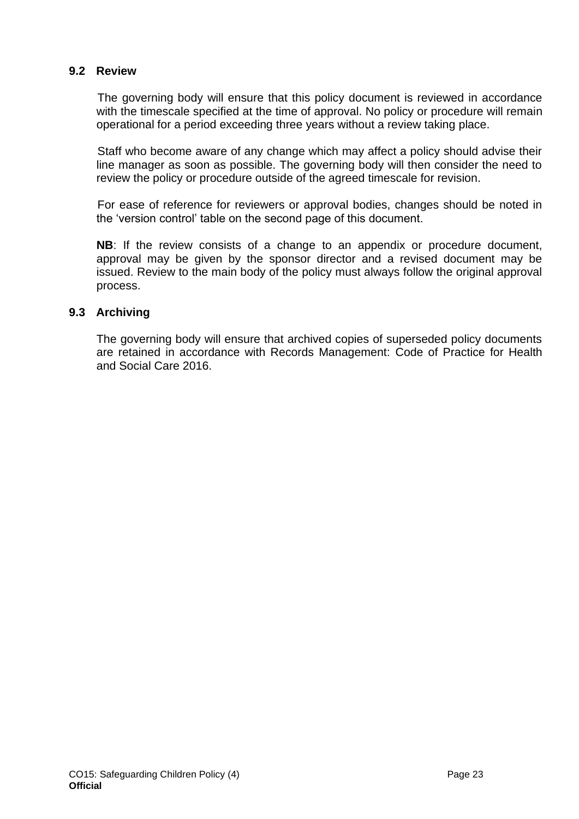#### **9.2 Review**

The governing body will ensure that this policy document is reviewed in accordance with the timescale specified at the time of approval. No policy or procedure will remain operational for a period exceeding three years without a review taking place.

Staff who become aware of any change which may affect a policy should advise their line manager as soon as possible. The governing body will then consider the need to review the policy or procedure outside of the agreed timescale for revision.

For ease of reference for reviewers or approval bodies, changes should be noted in the 'version control' table on the second page of this document.

**NB**: If the review consists of a change to an appendix or procedure document, approval may be given by the sponsor director and a revised document may be issued. Review to the main body of the policy must always follow the original approval process.

#### **9.3 Archiving**

The governing body will ensure that archived copies of superseded policy documents are retained in accordance with Records Management: Code of Practice for Health and Social Care 2016.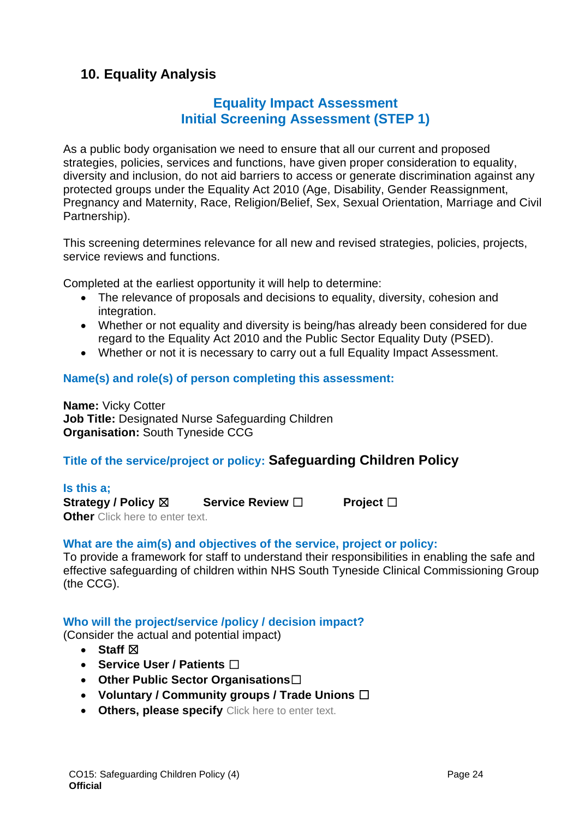### <span id="page-23-0"></span>**10. Equality Analysis**

### **Equality Impact Assessment Initial Screening Assessment (STEP 1)**

As a public body organisation we need to ensure that all our current and proposed strategies, policies, services and functions, have given proper consideration to equality, diversity and inclusion, do not aid barriers to access or generate discrimination against any protected groups under the Equality Act 2010 (Age, Disability, Gender Reassignment, Pregnancy and Maternity, Race, Religion/Belief, Sex, Sexual Orientation, Marriage and Civil Partnership).

This screening determines relevance for all new and revised strategies, policies, projects, service reviews and functions.

Completed at the earliest opportunity it will help to determine:

- The relevance of proposals and decisions to equality, diversity, cohesion and integration.
- Whether or not equality and diversity is being/has already been considered for due regard to the Equality Act 2010 and the Public Sector Equality Duty (PSED).
- Whether or not it is necessary to carry out a full Equality Impact Assessment.

#### **Name(s) and role(s) of person completing this assessment:**

**Name:** Vicky Cotter **Job Title:** Designated Nurse Safeguarding Children **Organisation:** South Tyneside CCG

#### **Title of the service/project or policy: Safeguarding Children Policy**

#### **Is this a;**

**Strategy / Policy** ☒ **Service Review** ☐ **Project** ☐ **Other** Click here to enter text.

**What are the aim(s) and objectives of the service, project or policy:** 

To provide a framework for staff to understand their responsibilities in enabling the safe and effective safeguarding of children within NHS South Tyneside Clinical Commissioning Group (the CCG).

#### **Who will the project/service /policy / decision impact?**

(Consider the actual and potential impact)

- **Staff**  $⊠$
- **Service User / Patients** ☐
- **Other Public Sector Organisations**☐
- **Voluntary / Community groups / Trade Unions** ☐
- **Others, please specify** Click here to enter text.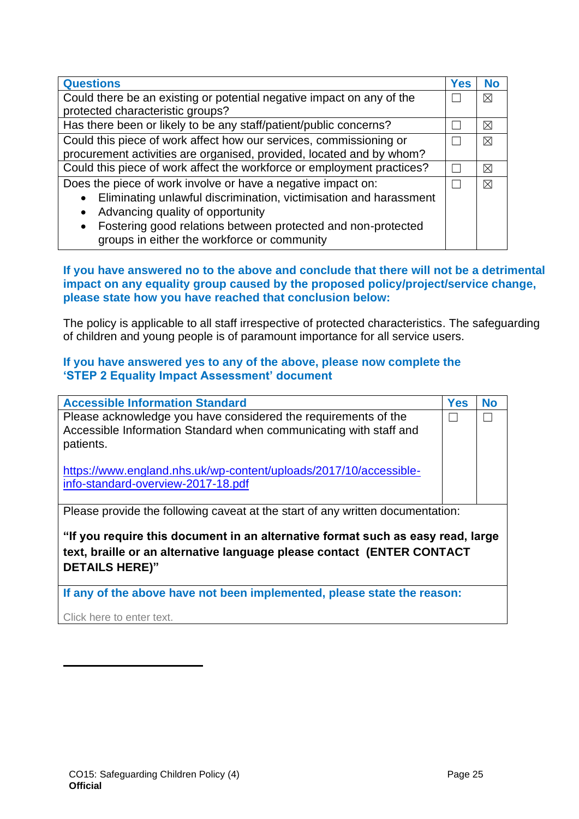| <b>Questions</b>                                                          | <b>Yes</b> | <b>No</b>   |
|---------------------------------------------------------------------------|------------|-------------|
| Could there be an existing or potential negative impact on any of the     |            | ⊠           |
| protected characteristic groups?                                          |            |             |
| Has there been or likely to be any staff/patient/public concerns?         |            | $\boxtimes$ |
| Could this piece of work affect how our services, commissioning or        |            | ⊠           |
| procurement activities are organised, provided, located and by whom?      |            |             |
| Could this piece of work affect the workforce or employment practices?    |            | $\boxtimes$ |
| Does the piece of work involve or have a negative impact on:              |            | ⊠           |
| Eliminating unlawful discrimination, victimisation and harassment         |            |             |
| Advancing quality of opportunity<br>$\bullet$                             |            |             |
| Fostering good relations between protected and non-protected<br>$\bullet$ |            |             |
| groups in either the workforce or community                               |            |             |

**If you have answered no to the above and conclude that there will not be a detrimental impact on any equality group caused by the proposed policy/project/service change, please state how you have reached that conclusion below:** 

The policy is applicable to all staff irrespective of protected characteristics. The safeguarding of children and young people is of paramount importance for all service users.

#### **If you have answered yes to any of the above, please now complete the 'STEP 2 Equality Impact Assessment' document**

| <b>Accessible Information Standard</b>                                                                                                                                             | <b>Yes</b> | <b>No</b> |
|------------------------------------------------------------------------------------------------------------------------------------------------------------------------------------|------------|-----------|
| Please acknowledge you have considered the requirements of the<br>Accessible Information Standard when communicating with staff and<br>patients.                                   |            |           |
| https://www.england.nhs.uk/wp-content/uploads/2017/10/accessible-<br>info-standard-overview-2017-18.pdf                                                                            |            |           |
| Please provide the following caveat at the start of any written documentation:                                                                                                     |            |           |
| "If you require this document in an alternative format such as easy read, large<br>text, braille or an alternative language please contact (ENTER CONTACT<br><b>DETAILS HERE)"</b> |            |           |
| If any of the above have not been implemented, please state the reason:                                                                                                            |            |           |

Click here to enter text.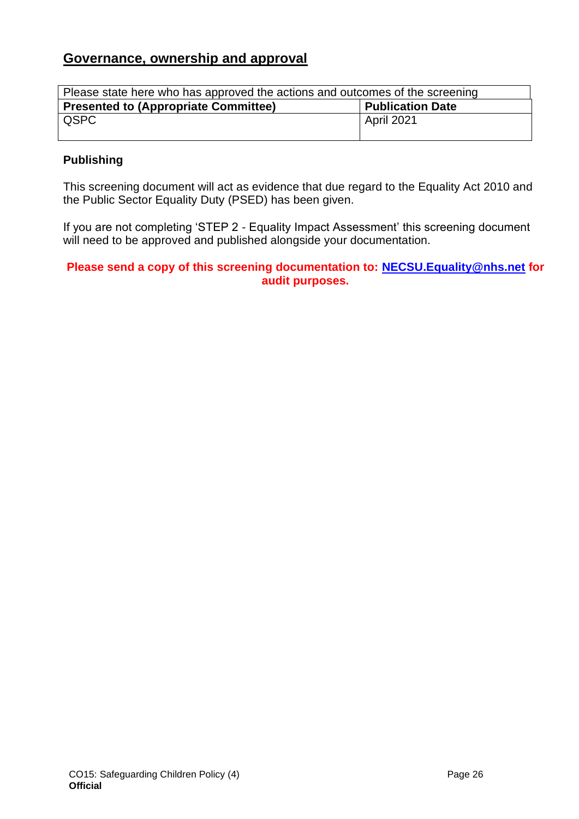### **Governance, ownership and approval**

| Please state here who has approved the actions and outcomes of the screening |                         |  |  |
|------------------------------------------------------------------------------|-------------------------|--|--|
| <b>Presented to (Appropriate Committee)</b>                                  | <b>Publication Date</b> |  |  |
| <b>QSPC</b>                                                                  | April 2021              |  |  |
|                                                                              |                         |  |  |

#### **Publishing**

This screening document will act as evidence that due regard to the Equality Act 2010 and the Public Sector Equality Duty (PSED) has been given.

If you are not completing 'STEP 2 - Equality Impact Assessment' this screening document will need to be approved and published alongside your documentation.

**Please send a copy of this screening documentation to: [NECSU.Equality@nhs.net](mailto:NECSU.Equality@nhs.net) for audit purposes.**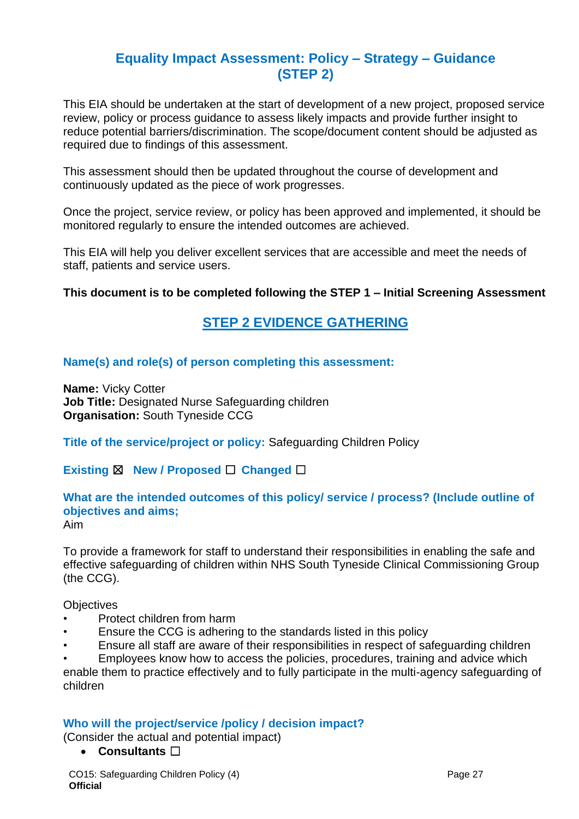### **Equality Impact Assessment: Policy – Strategy – Guidance (STEP 2)**

This EIA should be undertaken at the start of development of a new project, proposed service review, policy or process guidance to assess likely impacts and provide further insight to reduce potential barriers/discrimination. The scope/document content should be adjusted as required due to findings of this assessment.

This assessment should then be updated throughout the course of development and continuously updated as the piece of work progresses.

Once the project, service review, or policy has been approved and implemented, it should be monitored regularly to ensure the intended outcomes are achieved.

This EIA will help you deliver excellent services that are accessible and meet the needs of staff, patients and service users.

#### **This document is to be completed following the STEP 1 – Initial Screening Assessment**

### **STEP 2 EVIDENCE GATHERING**

#### **Name(s) and role(s) of person completing this assessment:**

**Name:** Vicky Cotter **Job Title:** Designated Nurse Safeguarding children **Organisation:** South Tyneside CCG

**Title of the service/project or policy:** Safeguarding Children Policy

#### **Existing** ☒ **New / Proposed** ☐ **Changed** ☐

### **What are the intended outcomes of this policy/ service / process? (Include outline of objectives and aims;**

Aim

To provide a framework for staff to understand their responsibilities in enabling the safe and effective safeguarding of children within NHS South Tyneside Clinical Commissioning Group (the CCG).

**Objectives** 

- Protect children from harm
- Ensure the CCG is adhering to the standards listed in this policy
- Ensure all staff are aware of their responsibilities in respect of safeguarding children

• Employees know how to access the policies, procedures, training and advice which enable them to practice effectively and to fully participate in the multi-agency safeguarding of children

#### **Who will the project/service /policy / decision impact?**

(Consider the actual and potential impact)

• **Consultants** ☐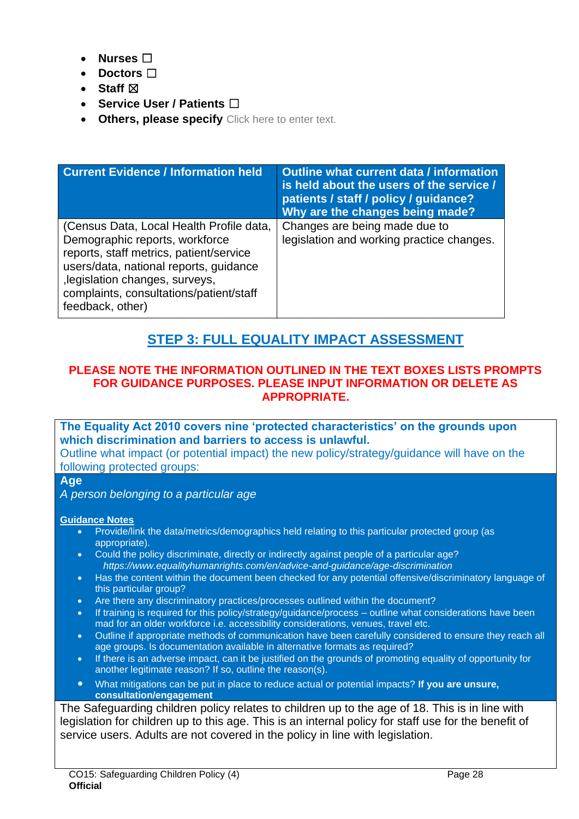- **Nurses** ☐
- **Doctors** ☐
- **Staff** ☒
- **Service User / Patients** ☐
- **Others, please specify** Click here to enter text.

| <b>Current Evidence / Information held</b>                                                                                                                                                                                                                        | <b>Outline what current data / information</b><br>is held about the users of the service /<br>patients / staff / policy / guidance?<br>Why are the changes being made? |
|-------------------------------------------------------------------------------------------------------------------------------------------------------------------------------------------------------------------------------------------------------------------|------------------------------------------------------------------------------------------------------------------------------------------------------------------------|
| (Census Data, Local Health Profile data,<br>Demographic reports, workforce<br>reports, staff metrics, patient/service<br>users/data, national reports, guidance<br>, legislation changes, surveys,<br>complaints, consultations/patient/staff<br>feedback, other) | Changes are being made due to<br>legislation and working practice changes.                                                                                             |

# **STEP 3: FULL EQUALITY IMPACT ASSESSMENT**

#### **PLEASE NOTE THE INFORMATION OUTLINED IN THE TEXT BOXES LISTS PROMPTS FOR GUIDANCE PURPOSES. PLEASE INPUT INFORMATION OR DELETE AS APPROPRIATE.**

**The Equality Act 2010 covers nine 'protected characteristics' on the grounds upon which discrimination and barriers to access is unlawful.**

Outline what impact (or potential impact) the new policy/strategy/guidance will have on the following protected groups:

#### **Age**

*A person belonging to a particular age*

#### **Guidance Notes**

- Provide/link the data/metrics/demographics held relating to this particular protected group (as appropriate).
- Could the policy discriminate, directly or indirectly against people of a particular age? *<https://www.equalityhumanrights.com/en/advice-and-guidance/age-discrimination>*
- Has the content within the document been checked for any potential offensive/discriminatory language of this particular group?
- Are there any discriminatory practices/processes outlined within the document?
- If training is required for this policy/strategy/guidance/process outline what considerations have been mad for an older workforce i.e. accessibility considerations, venues, travel etc.
- Outline if appropriate methods of communication have been carefully considered to ensure they reach all age groups. Is documentation available in alternative formats as required?
- If there is an adverse impact, can it be justified on the grounds of promoting equality of opportunity for another legitimate reason? If so, outline the reason(s).
- What mitigations can be put in place to reduce actual or potential impacts? **If you are unsure, consultation/engagement**

The Safeguarding children policy relates to children up to the age of 18. This is in line with legislation for children up to this age. This is an internal policy for staff use for the benefit of service users. Adults are not covered in the policy in line with legislation.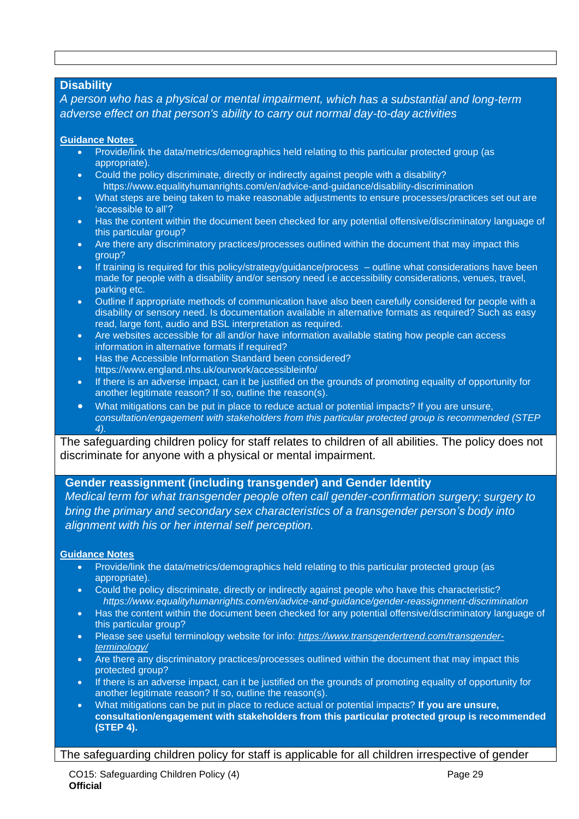#### **Disability**

*A person who has a physical or mental impairment, which has a substantial and long-term adverse effect on that person's ability to carry out normal day-to-day activities*

#### **Guidance Notes**

- Provide/link the data/metrics/demographics held relating to this particular protected group (as appropriate).
- Could the policy discriminate, directly or indirectly against people with a disability? https://www.equalityhumanrights.com/en/advice-and-guidance/disability-discrimination
- What steps are being taken to make reasonable adjustments to ensure processes/practices set out are 'accessible to all'?
- Has the content within the document been checked for any potential offensive/discriminatory language of this particular group?
- Are there any discriminatory practices/processes outlined within the document that may impact this group?
- If training is required for this policy/strategy/guidance/process outline what considerations have been made for people with a disability and/or sensory need i.e accessibility considerations, venues, travel, parking etc.
- Outline if appropriate methods of communication have also been carefully considered for people with a disability or sensory need. Is documentation available in alternative formats as required? Such as easy read, large font, audio and BSL interpretation as required.
- Are websites accessible for all and/or have information available stating how people can access information in alternative formats if required?
- Has the Accessible Information Standard been considered? https://www.england.nhs.uk/ourwork/accessibleinfo/
- If there is an adverse impact, can it be justified on the grounds of promoting equality of opportunity for another legitimate reason? If so, outline the reason(s).
- What mitigations can be put in place to reduce actual or potential impacts? If you are unsure, *consultation/engagement with stakeholders from this particular protected group is recommended (STEP 4).*

The safeguarding children policy for staff relates to children of all abilities. The policy does not discriminate for anyone with a physical or mental impairment.

#### **Gender reassignment (including transgender) and Gender Identity**

*Medical term for what transgender people often call gender-confirmation surgery; surgery to bring the primary and secondary sex characteristics of a transgender person's body into alignment with his or her internal self perception.*

#### **Guidance Notes**

- Provide/link the data/metrics/demographics held relating to this particular protected group (as appropriate).
- Could the policy discriminate, directly or indirectly against people who have this characteristic? *<https://www.equalityhumanrights.com/en/advice-and-guidance/gender-reassignment-discrimination>*
- Has the content within the document been checked for any potential offensive/discriminatory language of this particular group?
- Please see useful terminology website for info: *[https://www.transgendertrend.com/transgender](https://www.transgendertrend.com/transgender-terminology/)[terminology/](https://www.transgendertrend.com/transgender-terminology/)*
- Are there any discriminatory practices/processes outlined within the document that may impact this protected group?
- If there is an adverse impact, can it be justified on the grounds of promoting equality of opportunity for another legitimate reason? If so, outline the reason(s).
- What mitigations can be put in place to reduce actual or potential impacts? **If you are unsure, consultation/engagement with stakeholders from this particular protected group is recommended (STEP 4).**

The safeguarding children policy for staff is applicable for all children irrespective of gender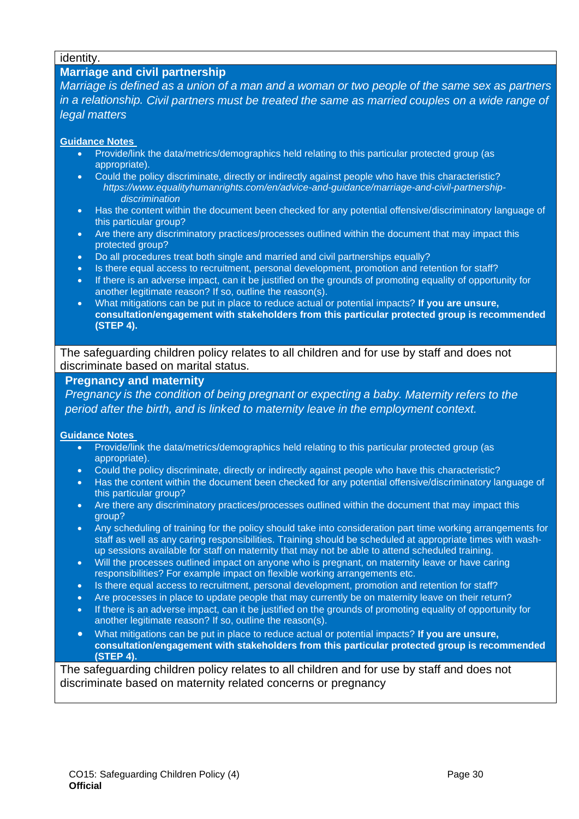#### identity.

#### **Marriage and civil partnership**

*Marriage is defined as a union of a man and a woman or two people of the same sex as partners in a relationship. Civil partners must be treated the same as married couples on a wide range of legal matters*

#### **Guidance Notes**

- Provide/link the data/metrics/demographics held relating to this particular protected group (as appropriate).
- Could the policy discriminate, directly or indirectly against people who have this characteristic? *[https://www.equalityhumanrights.com/en/advice-and-guidance/marriage-and-civil-partnership](https://www.equalityhumanrights.com/en/advice-and-guidance/marriage-and-civil-partnership-discrimination)[discrimination](https://www.equalityhumanrights.com/en/advice-and-guidance/marriage-and-civil-partnership-discrimination)*
- Has the content within the document been checked for any potential offensive/discriminatory language of this particular group?
- Are there any discriminatory practices/processes outlined within the document that may impact this protected group?
- Do all procedures treat both single and married and civil partnerships equally?
- Is there equal access to recruitment, personal development, promotion and retention for staff?
- If there is an adverse impact, can it be justified on the grounds of promoting equality of opportunity for another legitimate reason? If so, outline the reason(s).
- What mitigations can be put in place to reduce actual or potential impacts? **If you are unsure, consultation/engagement with stakeholders from this particular protected group is recommended (STEP 4).**

The safeguarding children policy relates to all children and for use by staff and does not discriminate based on marital status.

#### **Pregnancy and maternity**

*Pregnancy is the condition of being pregnant or expecting a baby. Maternity refers to the period after the birth, and is linked to maternity leave in the employment context.*

#### **Guidance Notes**

- Provide/link the data/metrics/demographics held relating to this particular protected group (as appropriate).
- Could the policy discriminate, directly or indirectly against people who have this characteristic?
- Has the content within the document been checked for any potential offensive/discriminatory language of this particular group?
- Are there any discriminatory practices/processes outlined within the document that may impact this group?
- Any scheduling of training for the policy should take into consideration part time working arrangements for staff as well as any caring responsibilities. Training should be scheduled at appropriate times with washup sessions available for staff on maternity that may not be able to attend scheduled training.
- Will the processes outlined impact on anyone who is pregnant, on maternity leave or have caring responsibilities? For example impact on flexible working arrangements etc.
- Is there equal access to recruitment, personal development, promotion and retention for staff?
- Are processes in place to update people that may currently be on maternity leave on their return?
- If there is an adverse impact, can it be justified on the grounds of promoting equality of opportunity for another legitimate reason? If so, outline the reason(s).
- What mitigations can be put in place to reduce actual or potential impacts? **If you are unsure, consultation/engagement with stakeholders from this particular protected group is recommended (STEP 4).**

The safeguarding children policy relates to all children and for use by staff and does not discriminate based on maternity related concerns or pregnancy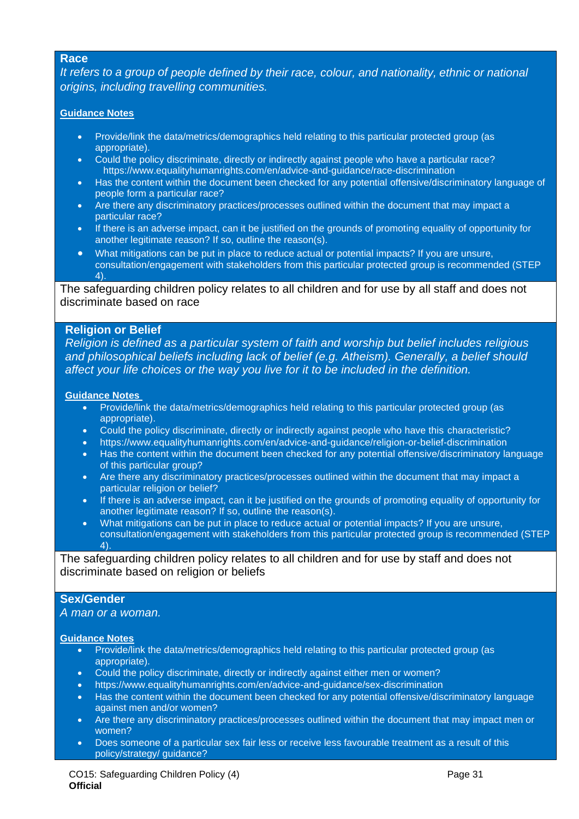#### **Race**

*It refers to a group of people defined by their race, colour, and nationality, ethnic or national origins, including travelling communities.*

#### **Guidance Notes**

- Provide/link the data/metrics/demographics held relating to this particular protected group (as appropriate).
- Could the policy discriminate, directly or indirectly against people who have a particular race? https://www.equalityhumanrights.com/en/advice-and-guidance/race-discrimination
- Has the content within the document been checked for any potential offensive/discriminatory language of people form a particular race?
- Are there any discriminatory practices/processes outlined within the document that may impact a particular race?
- If there is an adverse impact, can it be justified on the grounds of promoting equality of opportunity for another legitimate reason? If so, outline the reason(s).
- What mitigations can be put in place to reduce actual or potential impacts? If you are unsure, consultation/engagement with stakeholders from this particular protected group is recommended (STEP 4).

The safeguarding children policy relates to all children and for use by all staff and does not discriminate based on race

#### **Religion or Belief**

*Religion is defined as a particular system of faith and worship but belief includes religious and philosophical beliefs including lack of belief (e.g. Atheism). Generally, a belief should affect your life choices or the way you live for it to be included in the definition.*

#### **Guidance Notes**

- Provide/link the data/metrics/demographics held relating to this particular protected group (as appropriate).
- Could the policy discriminate, directly or indirectly against people who have this characteristic?
- https://www.equalityhumanrights.com/en/advice-and-guidance/religion-or-belief-discrimination
- Has the content within the document been checked for any potential offensive/discriminatory language of this particular group?
- Are there any discriminatory practices/processes outlined within the document that may impact a particular religion or belief?
- If there is an adverse impact, can it be justified on the grounds of promoting equality of opportunity for another legitimate reason? If so, outline the reason(s).
- What mitigations can be put in place to reduce actual or potential impacts? If you are unsure, consultation/engagement with stakeholders from this particular protected group is recommended (STEP 4).

The safeguarding children policy relates to all children and for use by staff and does not discriminate based on religion or beliefs

#### **Sex/Gender**

#### *A man or a woman.*

#### **Guidance Notes**

- Provide/link the data/metrics/demographics held relating to this particular protected group (as appropriate).
- Could the policy discriminate, directly or indirectly against either men or women?
- https://www.equalityhumanrights.com/en/advice-and-guidance/sex-discrimination
- Has the content within the document been checked for any potential offensive/discriminatory language against men and/or women?
- Are there any discriminatory practices/processes outlined within the document that may impact men or women?
- Does someone of a particular sex fair less or receive less favourable treatment as a result of this policy/strategy/ guidance?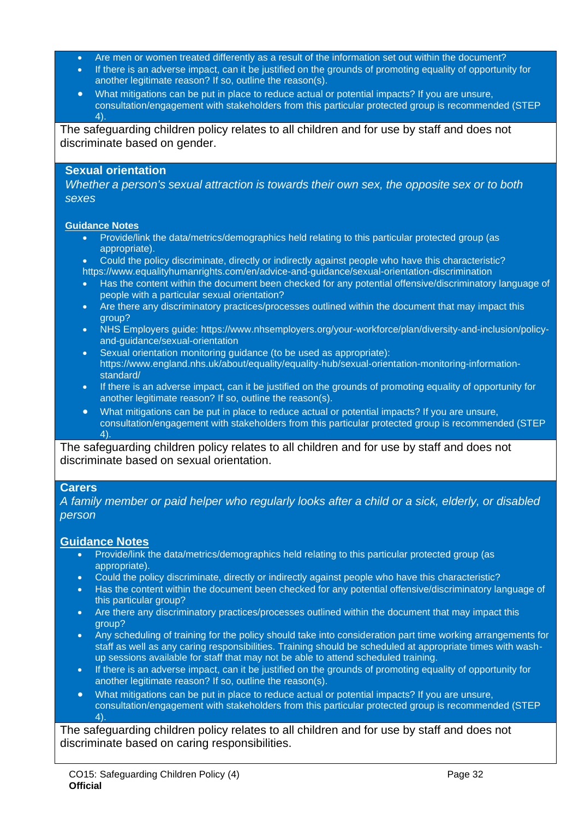- Are men or women treated differently as a result of the information set out within the document?
- If there is an adverse impact, can it be justified on the grounds of promoting equality of opportunity for another legitimate reason? If so, outline the reason(s).
- What mitigations can be put in place to reduce actual or potential impacts? If you are unsure, consultation/engagement with stakeholders from this particular protected group is recommended (STEP 4).

The safeguarding children policy relates to all children and for use by staff and does not discriminate based on gender.

#### **Sexual orientation**

*Whether a person's sexual attraction is towards their own sex, the opposite sex or to both sexes*

#### **Guidance Notes**

- Provide/link the data/metrics/demographics held relating to this particular protected group (as appropriate).
- Could the policy discriminate, directly or indirectly against people who have this characteristic? https://www.equalityhumanrights.com/en/advice-and-guidance/sexual-orientation-discrimination
- Has the content within the document been checked for any potential offensive/discriminatory language of people with a particular sexual orientation?
- Are there any discriminatory practices/processes outlined within the document that may impact this group?
- NHS Employers guide: https://www.nhsemployers.org/your-workforce/plan/diversity-and-inclusion/policyand-guidance/sexual-orientation
- Sexual orientation monitoring guidance (to be used as appropriate): https://www.england.nhs.uk/about/equality/equality-hub/sexual-orientation-monitoring-informationstandard/
- If there is an adverse impact, can it be justified on the grounds of promoting equality of opportunity for another legitimate reason? If so, outline the reason(s).
- What mitigations can be put in place to reduce actual or potential impacts? If you are unsure, consultation/engagement with stakeholders from this particular protected group is recommended (STEP 4).

The safeguarding children policy relates to all children and for use by staff and does not discriminate based on sexual orientation.

#### **Carers**

*A family member or paid [helper](http://www.oxforddictionaries.com/definition/english/%20http:/www.oxforddictionaries.com/definition/english/helper#helper__2) who regularly looks after a child or a [sick,](http://www.oxforddictionaries.com/definition/english/%20http:/www.oxforddictionaries.com/definition/english/sick#sick__2) [elderly,](http://www.oxforddictionaries.com/definition/english/%20http:/www.oxforddictionaries.com/definition/english/elderly#elderly__2) or [disabled](http://www.oxforddictionaries.com/definition/english/%20http:/www.oxforddictionaries.com/definition/english/disabled#disabled__2) person*

#### **Guidance Notes**

- Provide/link the data/metrics/demographics held relating to this particular protected group (as appropriate).
- Could the policy discriminate, directly or indirectly against people who have this characteristic?
- Has the content within the document been checked for any potential offensive/discriminatory language of this particular group?
- Are there any discriminatory practices/processes outlined within the document that may impact this group?
- Any scheduling of training for the policy should take into consideration part time working arrangements for staff as well as any caring responsibilities. Training should be scheduled at appropriate times with washup sessions available for staff that may not be able to attend scheduled training.
- If there is an adverse impact, can it be justified on the grounds of promoting equality of opportunity for another legitimate reason? If so, outline the reason(s).
- What mitigations can be put in place to reduce actual or potential impacts? If you are unsure, consultation/engagement with stakeholders from this particular protected group is recommended (STEP 4).

The safeguarding children policy relates to all children and for use by staff and does not discriminate based on caring responsibilities.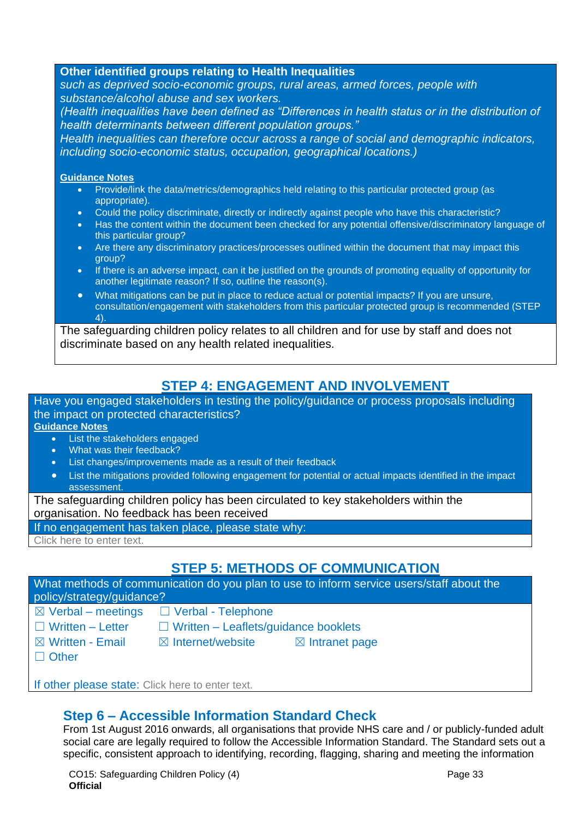#### **Other identified groups relating to Health Inequalities**

*such as deprived socio-economic groups, rural areas, armed forces, people with substance/alcohol abuse and sex workers.*

*(Health inequalities have been defined as "Differences in health status or in the distribution of health determinants between different population groups."*

*Health inequalities can therefore occur across a range of social and demographic indicators, including socio-economic status, occupation, geographical locations.)*

#### **Guidance Notes**

- Provide/link the data/metrics/demographics held relating to this particular protected group (as appropriate).
- Could the policy discriminate, directly or indirectly against people who have this characteristic?
- Has the content within the document been checked for any potential offensive/discriminatory language of this particular group?
- Are there any discriminatory practices/processes outlined within the document that may impact this group?
- If there is an adverse impact, can it be justified on the grounds of promoting equality of opportunity for another legitimate reason? If so, outline the reason(s).
- What mitigations can be put in place to reduce actual or potential impacts? If you are unsure, consultation/engagement with stakeholders from this particular protected group is recommended (STEP 4).

The safeguarding children policy relates to all children and for use by staff and does not discriminate based on any health related inequalities.

## **STEP 4: ENGAGEMENT AND INVOLVEMENT**

Have you engaged stakeholders in testing the policy/guidance or process proposals including the impact on protected characteristics? **Guidance Notes**

- List the stakeholders engaged
- What was their feedback?
- List changes/improvements made as a result of their feedback
- List the mitigations provided following engagement for potential or actual impacts identified in the impact assessment.

The safeguarding children policy has been circulated to key stakeholders within the organisation. No feedback has been received

If no engagement has taken place, please state why:

Click here to enter text.

### **STEP 5: METHODS OF COMMUNICATION**

What methods of communication do you plan to use to inform service users/staff about the policy/strategy/guidance?

 $\boxtimes$  Verbal – meetings  $\Box$  Verbal - Telephone

 $\Box$  Written – Letter  $\Box$  Written – Leaflets/guidance booklets

 $\boxtimes$  Written - Email  $\boxtimes$  Internet/website  $\boxtimes$  Intranet page

□ Other

If other please state: Click here to enter text.

### **Step 6 – Accessible Information Standard Check**

From 1st August 2016 onwards, all organisations that provide NHS care and / or publicly-funded adult social care are legally required to follow the Accessible Information Standard. The Standard sets out a specific, consistent approach to identifying, recording, flagging, sharing and meeting the information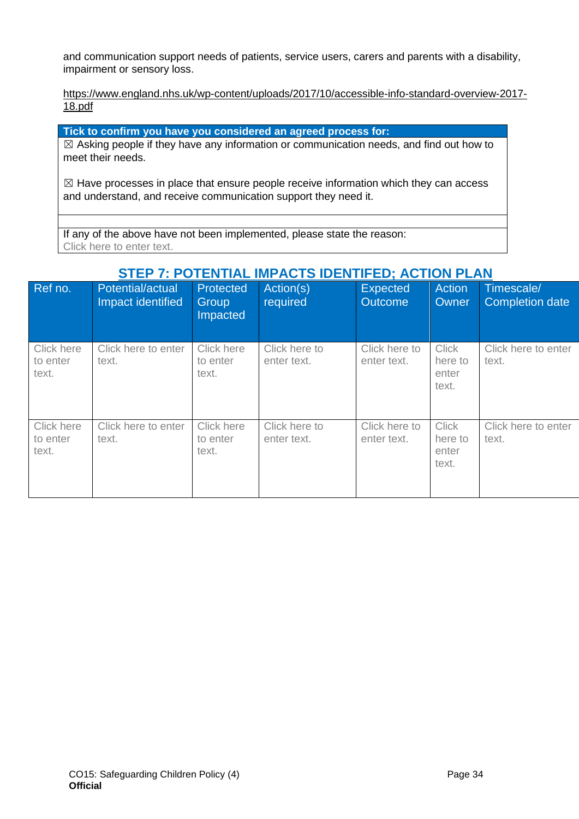and communication support needs of patients, service users, carers and parents with a disability, impairment or sensory loss.

[https://www.england.nhs.uk/wp-content/uploads/2017/10/accessible-info-standard-overview-2017-](https://www.england.nhs.uk/wp-content/uploads/2017/10/accessible-info-standard-overview-2017-18.pdf) [18.pdf](https://www.england.nhs.uk/wp-content/uploads/2017/10/accessible-info-standard-overview-2017-18.pdf)

**Tick to confirm you have you considered an agreed process for:**

☒ Asking people if they have any information or communication needs, and find out how to meet their needs.

 $\boxtimes$  Have processes in place that ensure people receive information which they can access and understand, and receive communication support they need it.

If any of the above have not been implemented, please state the reason: Click here to enter text.

### **STEP 7: POTENTIAL IMPACTS IDENTIFED; ACTION PLAN**

| Ref no.                         | Potential/actual<br>Impact identified | Protected<br>Group<br>Impacted  | Action(s)<br>required        | <b>Expected</b><br><b>Outcome</b> | Action<br>Owner                           | Timescale/<br>Completion date |
|---------------------------------|---------------------------------------|---------------------------------|------------------------------|-----------------------------------|-------------------------------------------|-------------------------------|
| Click here<br>to enter<br>text. | Click here to enter<br>text.          | Click here<br>to enter<br>text. | Click here to<br>enter text. | Click here to<br>enter text.      | <b>Click</b><br>here to<br>enter<br>text. | Click here to enter<br>text.  |
| Click here<br>to enter<br>text. | Click here to enter<br>text.          | Click here<br>to enter<br>text. | Click here to<br>enter text. | Click here to<br>enter text.      | <b>Click</b><br>here to<br>enter<br>text. | Click here to enter<br>text.  |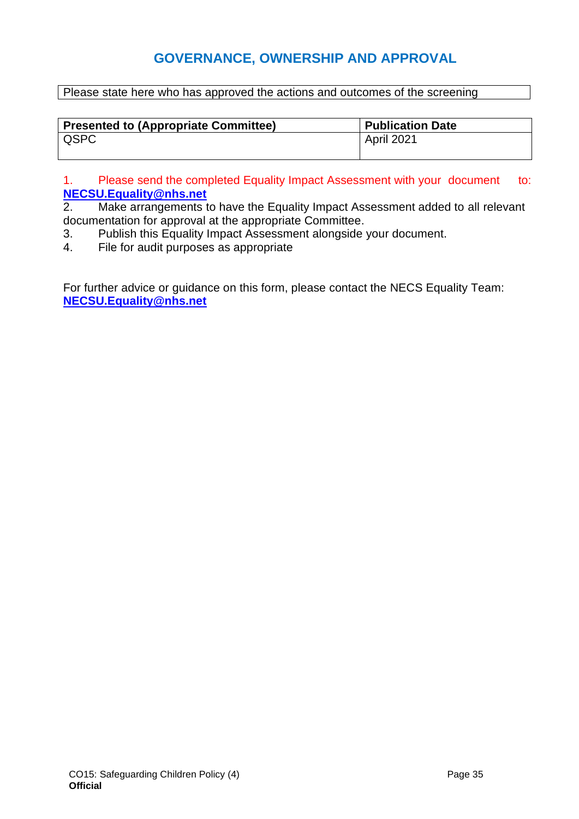# **GOVERNANCE, OWNERSHIP AND APPROVAL**

Please state here who has approved the actions and outcomes of the screening

| <b>Presented to (Appropriate Committee)</b> | <b>Publication Date</b> |
|---------------------------------------------|-------------------------|
| QSPC                                        | <b>April 2021</b>       |

1. Please send the completed Equality Impact Assessment with your document to: **[NECSU.Equality@nhs.net](mailto:NECSU.Equality@nhs.net)**

2. Make arrangements to have the Equality Impact Assessment added to all relevant documentation for approval at the appropriate Committee.

3. Publish this Equality Impact Assessment alongside your document.

4. File for audit purposes as appropriate

For further advice or guidance on this form, please contact the NECS Equality Team: **[NECSU.Equality@nhs.net](mailto:NECSU.Equality@nhs.net)**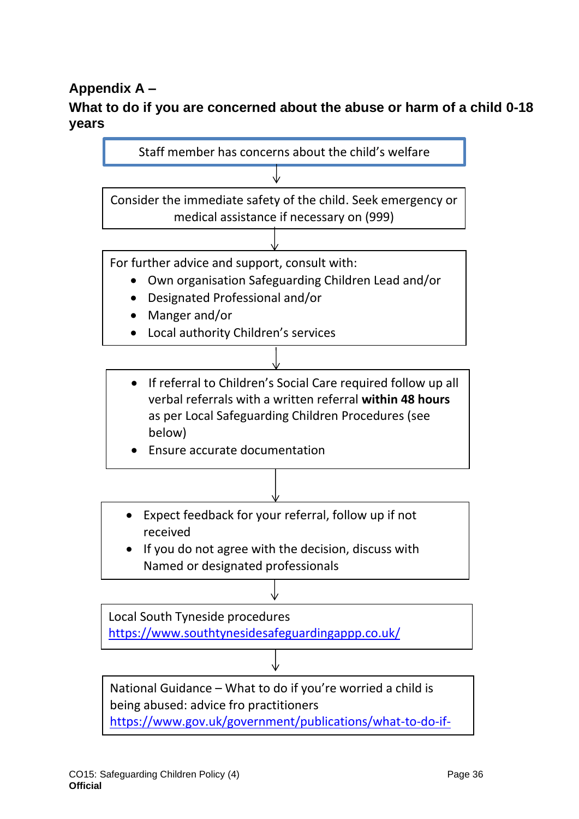# <span id="page-35-0"></span>**Appendix A – What to do if you are concerned about the abuse or harm of a child 0-18 years**



[https://www.gov.uk/government/publications/what-to-do-if-](https://www.gov.uk/government/publications/what-to-do-if-youre-worried-a-child-is-being-abused--2)

[youre-worried-a-child-is-being-abused--2](https://www.gov.uk/government/publications/what-to-do-if-youre-worried-a-child-is-being-abused--2)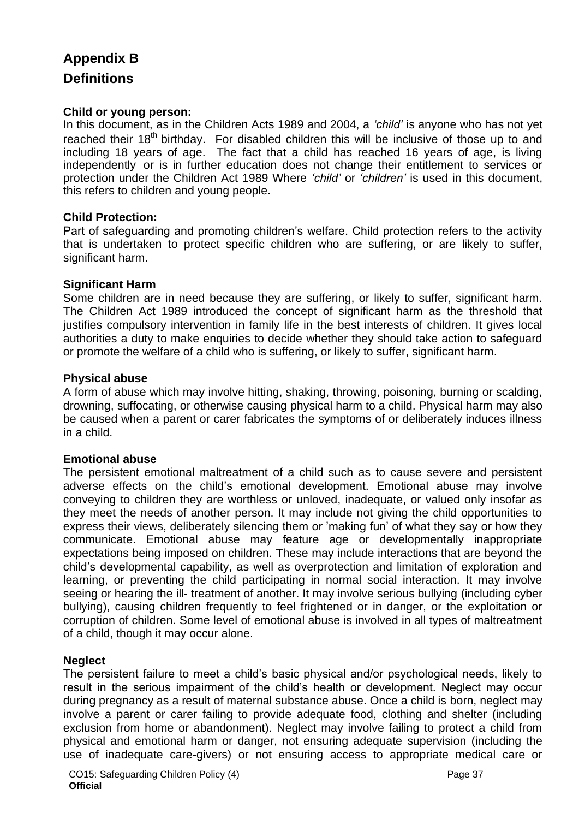# **Appendix B Definitions**

#### **Child or young person:**

In this document, as in the Children Acts 1989 and 2004, a *'child'* is anyone who has not yet reached their  $18<sup>th</sup>$  birthday. For disabled children this will be inclusive of those up to and including 18 years of age. The fact that a child has reached 16 years of age, is living independently or is in further education does not change their entitlement to services or protection under the Children Act 1989 Where *'child'* or *'children'* is used in this document, this refers to children and young people.

#### **Child Protection:**

Part of safeguarding and promoting children's welfare. Child protection refers to the activity that is undertaken to protect specific children who are suffering, or are likely to suffer, significant harm.

#### **Significant Harm**

Some children are in need because they are suffering, or likely to suffer, significant harm. The Children Act 1989 introduced the concept of significant harm as the threshold that justifies compulsory intervention in family life in the best interests of children. It gives local authorities a duty to make enquiries to decide whether they should take action to safeguard or promote the welfare of a child who is suffering, or likely to suffer, significant harm.

#### **Physical abuse**

A form of abuse which may involve hitting, shaking, throwing, poisoning, burning or scalding, drowning, suffocating, or otherwise causing physical harm to a child. Physical harm may also be caused when a parent or carer fabricates the symptoms of or deliberately induces illness in a child.

#### **Emotional abuse**

The persistent emotional maltreatment of a child such as to cause severe and persistent adverse effects on the child's emotional development. Emotional abuse may involve conveying to children they are worthless or unloved, inadequate, or valued only insofar as they meet the needs of another person. It may include not giving the child opportunities to express their views, deliberately silencing them or 'making fun' of what they say or how they communicate. Emotional abuse may feature age or developmentally inappropriate expectations being imposed on children. These may include interactions that are beyond the child's developmental capability, as well as overprotection and limitation of exploration and learning, or preventing the child participating in normal social interaction. It may involve seeing or hearing the ill- treatment of another. It may involve serious bullying (including cyber bullying), causing children frequently to feel frightened or in danger, or the exploitation or corruption of children. Some level of emotional abuse is involved in all types of maltreatment of a child, though it may occur alone.

#### **Neglect**

The persistent failure to meet a child's basic physical and/or psychological needs, likely to result in the serious impairment of the child's health or development. Neglect may occur during pregnancy as a result of maternal substance abuse. Once a child is born, neglect may involve a parent or carer failing to provide adequate food, clothing and shelter (including exclusion from home or abandonment). Neglect may involve failing to protect a child from physical and emotional harm or danger, not ensuring adequate supervision (including the use of inadequate care-givers) or not ensuring access to appropriate medical care or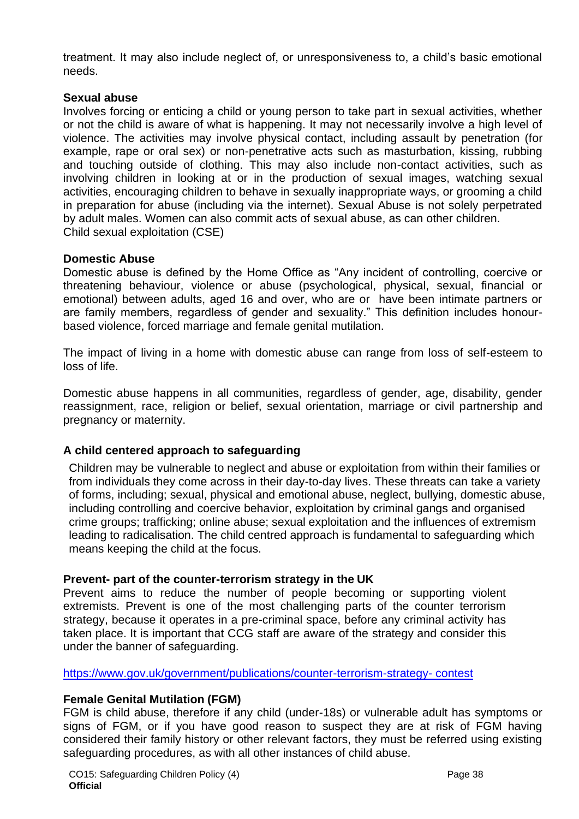treatment. It may also include neglect of, or unresponsiveness to, a child's basic emotional needs.

#### **Sexual abuse**

Involves forcing or enticing a child or young person to take part in sexual activities, whether or not the child is aware of what is happening. It may not necessarily involve a high level of violence. The activities may involve physical contact, including assault by penetration (for example, rape or oral sex) or non-penetrative acts such as masturbation, kissing, rubbing and touching outside of clothing. This may also include non-contact activities, such as involving children in looking at or in the production of sexual images, watching sexual activities, encouraging children to behave in sexually inappropriate ways, or grooming a child in preparation for abuse (including via the internet). Sexual Abuse is not solely perpetrated by adult males. Women can also commit acts of sexual abuse, as can other children. Child sexual exploitation (CSE)

#### **Domestic Abuse**

Domestic abuse is defined by the Home Office as "Any incident of controlling, coercive or threatening behaviour, violence or abuse (psychological, physical, sexual, financial or emotional) between adults, aged 16 and over, who are or have been intimate partners or are family members, regardless of gender and sexuality." This definition includes honourbased violence, forced marriage and female genital mutilation.

The impact of living in a home with domestic abuse can range from loss of self-esteem to loss of life.

Domestic abuse happens in all communities, regardless of gender, age, disability, gender reassignment, race, religion or belief, sexual orientation, marriage or civil partnership and pregnancy or maternity.

#### **A child centered approach to safeguarding**

Children may be vulnerable to neglect and abuse or exploitation from within their families or from individuals they come across in their day-to-day lives. These threats can take a variety of forms, including; sexual, physical and emotional abuse, neglect, bullying, domestic abuse, including controlling and coercive behavior, exploitation by criminal gangs and organised crime groups; trafficking; online abuse; sexual exploitation and the influences of extremism leading to radicalisation. The child centred approach is fundamental to safeguarding which means keeping the child at the focus.

#### **Prevent- part of the counter-terrorism strategy in the UK**

Prevent aims to reduce the number of people becoming or supporting violent extremists. Prevent is one of the most challenging parts of the counter terrorism strategy, because it operates in a pre-criminal space, before any criminal activity has taken place. It is important that CCG staff are aware of the strategy and consider this under the banner of safeguarding.

#### [https://www.gov.uk/government/publications/counter-terrorism-strategy-](https://www.gov.uk/government/publications/counter-terrorism-strategy-contest) [contest](https://www.gov.uk/government/publications/counter-terrorism-strategy-contest)

#### **Female Genital Mutilation (FGM)**

FGM is child abuse, therefore if any child (under-18s) or vulnerable adult has symptoms or signs of FGM, or if you have good reason to suspect they are at risk of FGM having considered their family history or other relevant factors, they must be referred using existing safeguarding procedures, as with all other instances of child abuse.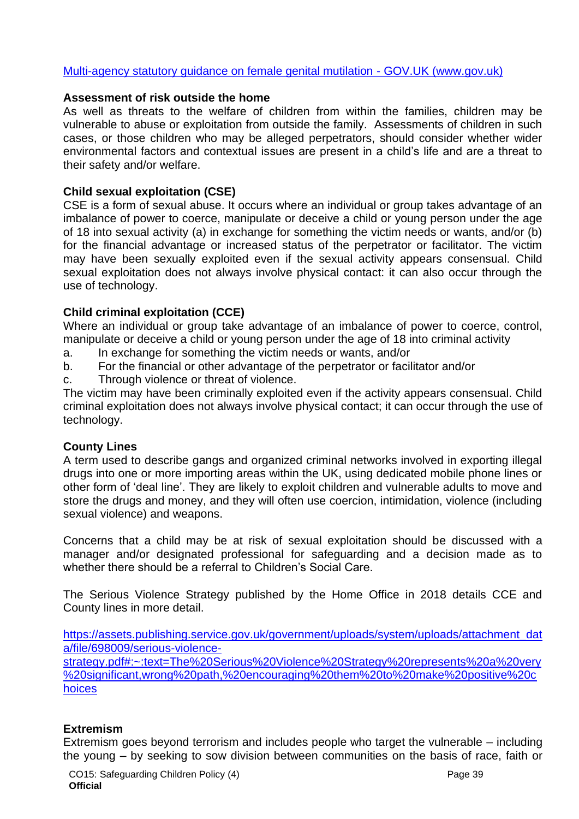#### [Multi-agency statutory guidance on female genital mutilation -](https://www.gov.uk/government/publications/multi-agency-statutory-guidance-on-female-genital-mutilation) GOV.UK (www.gov.uk)

#### **Assessment of risk outside the home**

As well as threats to the welfare of children from within the families, children may be vulnerable to abuse or exploitation from outside the family. Assessments of children in such cases, or those children who may be alleged perpetrators, should consider whether wider environmental factors and contextual issues are present in a child's life and are a threat to their safety and/or welfare.

#### **Child sexual exploitation (CSE)**

CSE is a form of sexual abuse. It occurs where an individual or group takes advantage of an imbalance of power to coerce, manipulate or deceive a child or young person under the age of 18 into sexual activity (a) in exchange for something the victim needs or wants, and/or (b) for the financial advantage or increased status of the perpetrator or facilitator. The victim may have been sexually exploited even if the sexual activity appears consensual. Child sexual exploitation does not always involve physical contact: it can also occur through the use of technology.

#### **Child criminal exploitation (CCE)**

Where an individual or group take advantage of an imbalance of power to coerce, control, manipulate or deceive a child or young person under the age of 18 into criminal activity

a. In exchange for something the victim needs or wants, and/or

b. For the financial or other advantage of the perpetrator or facilitator and/or

c. Through violence or threat of violence.

The victim may have been criminally exploited even if the activity appears consensual. Child criminal exploitation does not always involve physical contact; it can occur through the use of technology.

#### **County Lines**

A term used to describe gangs and organized criminal networks involved in exporting illegal drugs into one or more importing areas within the UK, using dedicated mobile phone lines or other form of 'deal line'. They are likely to exploit children and vulnerable adults to move and store the drugs and money, and they will often use coercion, intimidation, violence (including sexual violence) and weapons.

Concerns that a child may be at risk of sexual exploitation should be discussed with a manager and/or designated professional for safeguarding and a decision made as to whether there should be a referral to Children's Social Care.

The Serious Violence Strategy published by the Home Office in 2018 details CCE and County lines in more detail.

[https://assets.publishing.service.gov.uk/government/uploads/system/uploads/attachment\\_dat](https://assets.publishing.service.gov.uk/government/uploads/system/uploads/attachment_data/file/698009/serious-violence-strategy.pdf#:~:text=The%20Serious%20Violence%20Strategy%20represents%20a%20very%20significant,wrong%20path,%20encouraging%20them%20to%20make%20positive%20choices) [a/file/698009/serious-violence-](https://assets.publishing.service.gov.uk/government/uploads/system/uploads/attachment_data/file/698009/serious-violence-strategy.pdf#:~:text=The%20Serious%20Violence%20Strategy%20represents%20a%20very%20significant,wrong%20path,%20encouraging%20them%20to%20make%20positive%20choices)

[strategy.pdf#:~:text=The%20Serious%20Violence%20Strategy%20represents%20a%20very](https://assets.publishing.service.gov.uk/government/uploads/system/uploads/attachment_data/file/698009/serious-violence-strategy.pdf#:~:text=The%20Serious%20Violence%20Strategy%20represents%20a%20very%20significant,wrong%20path,%20encouraging%20them%20to%20make%20positive%20choices) [%20significant,wrong%20path,%20encouraging%20them%20to%20make%20positive%20c](https://assets.publishing.service.gov.uk/government/uploads/system/uploads/attachment_data/file/698009/serious-violence-strategy.pdf#:~:text=The%20Serious%20Violence%20Strategy%20represents%20a%20very%20significant,wrong%20path,%20encouraging%20them%20to%20make%20positive%20choices) [hoices](https://assets.publishing.service.gov.uk/government/uploads/system/uploads/attachment_data/file/698009/serious-violence-strategy.pdf#:~:text=The%20Serious%20Violence%20Strategy%20represents%20a%20very%20significant,wrong%20path,%20encouraging%20them%20to%20make%20positive%20choices)

#### **Extremism**

Extremism goes beyond terrorism and includes people who target the vulnerable – including the young – by seeking to sow division between communities on the basis of race, faith or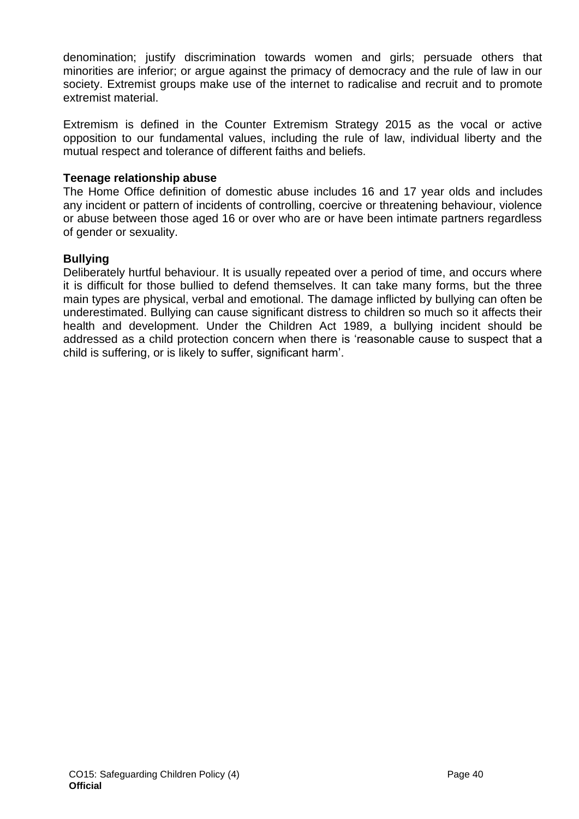denomination; justify discrimination towards women and girls; persuade others that minorities are inferior; or argue against the primacy of democracy and the rule of law in our society. Extremist groups make use of the internet to radicalise and recruit and to promote extremist material.

Extremism is defined in the Counter Extremism Strategy 2015 as the vocal or active opposition to our fundamental values, including the rule of law, individual liberty and the mutual respect and tolerance of different faiths and beliefs.

#### **Teenage relationship abuse**

The Home Office definition of domestic abuse includes 16 and 17 year olds and includes any incident or pattern of incidents of controlling, coercive or threatening behaviour, violence or abuse between those aged 16 or over who are or have been intimate partners regardless of gender or sexuality.

#### **Bullying**

Deliberately hurtful behaviour. It is usually repeated over a period of time, and occurs where it is difficult for those bullied to defend themselves. It can take many forms, but the three main types are physical, verbal and emotional. The damage inflicted by bullying can often be underestimated. Bullying can cause significant distress to children so much so it affects their health and development. Under the Children Act 1989, a bullying incident should be addressed as a child protection concern when there is 'reasonable cause to suspect that a child is suffering, or is likely to suffer, significant harm'.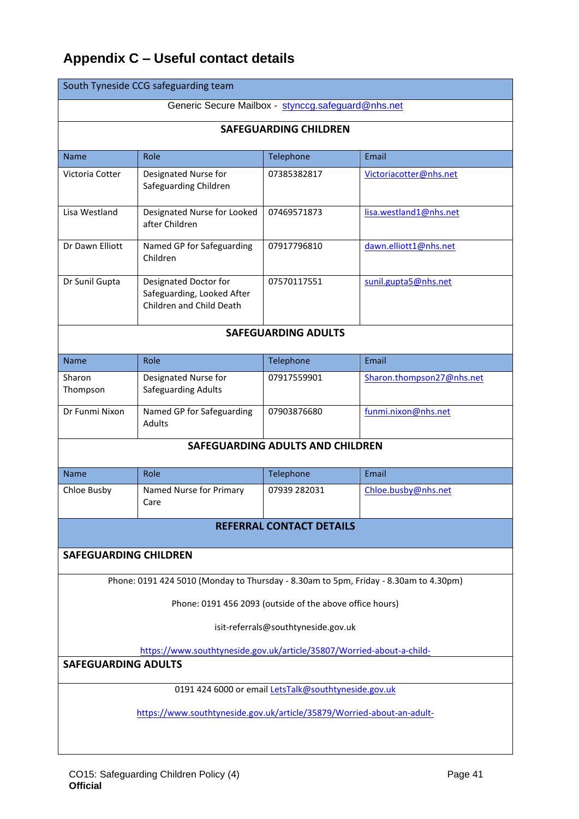# **Appendix C – Useful contact details**

| South Tyneside CCG safeguarding team                                                 |                                                                                 |                                         |                           |  |  |
|--------------------------------------------------------------------------------------|---------------------------------------------------------------------------------|-----------------------------------------|---------------------------|--|--|
| Generic Secure Mailbox - stynccg.safeguard@nhs.net                                   |                                                                                 |                                         |                           |  |  |
| <b>SAFEGUARDING CHILDREN</b>                                                         |                                                                                 |                                         |                           |  |  |
| Role<br>Telephone<br>Email<br><b>Name</b>                                            |                                                                                 |                                         |                           |  |  |
| Victoria Cotter                                                                      | Designated Nurse for<br>Safeguarding Children                                   | 07385382817                             | Victoriacotter@nhs.net    |  |  |
| Lisa Westland                                                                        | Designated Nurse for Looked<br>after Children                                   | 07469571873                             | lisa.westland1@nhs.net    |  |  |
| Dr Dawn Elliott                                                                      | Named GP for Safeguarding<br>Children                                           | 07917796810                             | dawn.elliott1@nhs.net     |  |  |
| Dr Sunil Gupta                                                                       | Designated Doctor for<br>Safeguarding, Looked After<br>Children and Child Death | 07570117551                             | sunil.gupta5@nhs.net      |  |  |
|                                                                                      |                                                                                 | <b>SAFEGUARDING ADULTS</b>              |                           |  |  |
| Name                                                                                 | Role                                                                            | Telephone                               | Email                     |  |  |
| Sharon<br>Thompson                                                                   | Designated Nurse for<br>Safeguarding Adults                                     | 07917559901                             | Sharon.thompson27@nhs.net |  |  |
| Dr Funmi Nixon                                                                       | Named GP for Safeguarding<br>Adults                                             | 07903876680                             | funmi.nixon@nhs.net       |  |  |
|                                                                                      |                                                                                 | <b>SAFEGUARDING ADULTS AND CHILDREN</b> |                           |  |  |
| <b>Name</b>                                                                          | Role                                                                            | Telephone                               | Email                     |  |  |
| Chloe Busby                                                                          | Named Nurse for Primary<br>Care                                                 | 07939 282031                            | Chloe.busby@nhs.net       |  |  |
|                                                                                      |                                                                                 | <b>REFERRAL CONTACT DETAILS</b>         |                           |  |  |
| <b>SAFEGUARDING CHILDREN</b>                                                         |                                                                                 |                                         |                           |  |  |
| Phone: 0191 424 5010 (Monday to Thursday - 8.30am to 5pm, Friday - 8.30am to 4.30pm) |                                                                                 |                                         |                           |  |  |
| Phone: 0191 456 2093 (outside of the above office hours)                             |                                                                                 |                                         |                           |  |  |
| isit-referrals@southtyneside.gov.uk                                                  |                                                                                 |                                         |                           |  |  |
| https://www.southtyneside.gov.uk/article/35807/Worried-about-a-child-                |                                                                                 |                                         |                           |  |  |
| <b>SAFEGUARDING ADULTS</b>                                                           |                                                                                 |                                         |                           |  |  |
| 0191 424 6000 or email LetsTalk@southtyneside.gov.uk                                 |                                                                                 |                                         |                           |  |  |
| https://www.southtyneside.gov.uk/article/35879/Worried-about-an-adult-               |                                                                                 |                                         |                           |  |  |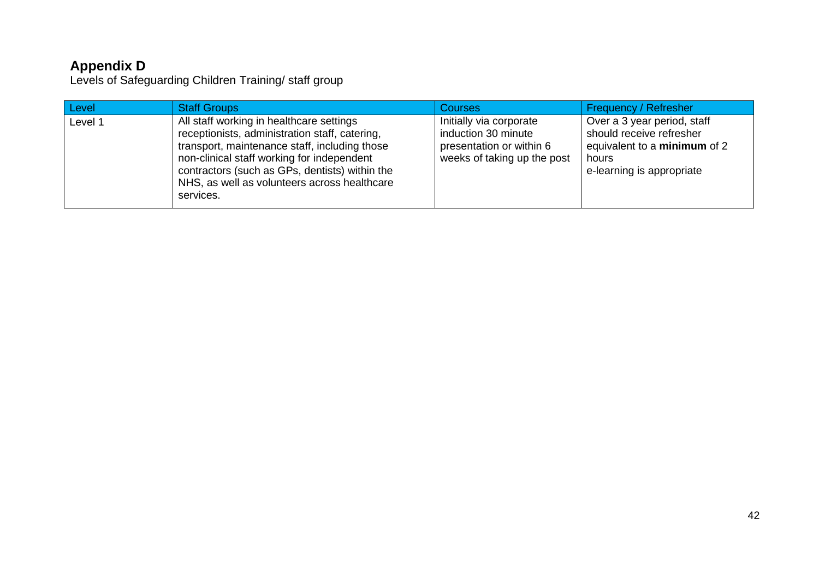### **Appendix D**

Levels of Safeguarding Children Training/ staff group

<span id="page-41-0"></span>

| Level   | <b>Staff Groups</b>                                                                                                                                                                                                                                                                                      | <b>Courses</b>                                                                                            | <b>Frequency / Refresher</b>                                                                                                  |
|---------|----------------------------------------------------------------------------------------------------------------------------------------------------------------------------------------------------------------------------------------------------------------------------------------------------------|-----------------------------------------------------------------------------------------------------------|-------------------------------------------------------------------------------------------------------------------------------|
| Level 1 | All staff working in healthcare settings<br>receptionists, administration staff, catering,<br>transport, maintenance staff, including those<br>non-clinical staff working for independent<br>contractors (such as GPs, dentists) within the<br>NHS, as well as volunteers across healthcare<br>services. | Initially via corporate<br>induction 30 minute<br>presentation or within 6<br>weeks of taking up the post | Over a 3 year period, staff<br>should receive refresher<br>equivalent to a minimum of 2<br>hours<br>e-learning is appropriate |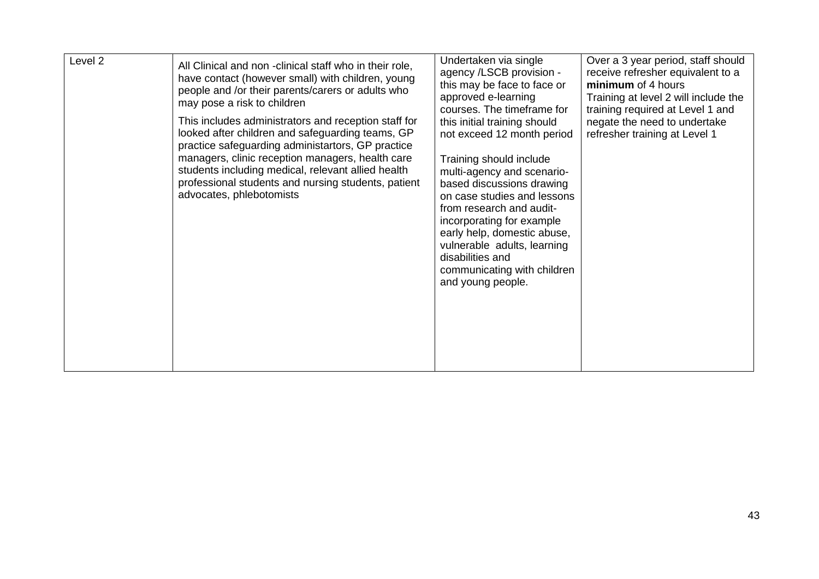| Level <sub>2</sub> | All Clinical and non-clinical staff who in their role,<br>have contact (however small) with children, young<br>people and /or their parents/carers or adults who<br>may pose a risk to children<br>This includes administrators and reception staff for<br>looked after children and safeguarding teams, GP<br>practice safeguarding administartors, GP practice<br>managers, clinic reception managers, health care<br>students including medical, relevant allied health<br>professional students and nursing students, patient<br>advocates, phlebotomists | Undertaken via single<br>agency /LSCB provision -<br>this may be face to face or<br>approved e-learning<br>courses. The timeframe for<br>this initial training should<br>not exceed 12 month period<br>Training should include<br>multi-agency and scenario-<br>based discussions drawing<br>on case studies and lessons<br>from research and audit-<br>incorporating for example<br>early help, domestic abuse,<br>vulnerable adults, learning<br>disabilities and<br>communicating with children<br>and young people. | Over a 3 year period, staff should<br>receive refresher equivalent to a<br>minimum of 4 hours<br>Training at level 2 will include the<br>training required at Level 1 and<br>negate the need to undertake<br>refresher training at Level 1 |
|--------------------|---------------------------------------------------------------------------------------------------------------------------------------------------------------------------------------------------------------------------------------------------------------------------------------------------------------------------------------------------------------------------------------------------------------------------------------------------------------------------------------------------------------------------------------------------------------|-------------------------------------------------------------------------------------------------------------------------------------------------------------------------------------------------------------------------------------------------------------------------------------------------------------------------------------------------------------------------------------------------------------------------------------------------------------------------------------------------------------------------|--------------------------------------------------------------------------------------------------------------------------------------------------------------------------------------------------------------------------------------------|
|--------------------|---------------------------------------------------------------------------------------------------------------------------------------------------------------------------------------------------------------------------------------------------------------------------------------------------------------------------------------------------------------------------------------------------------------------------------------------------------------------------------------------------------------------------------------------------------------|-------------------------------------------------------------------------------------------------------------------------------------------------------------------------------------------------------------------------------------------------------------------------------------------------------------------------------------------------------------------------------------------------------------------------------------------------------------------------------------------------------------------------|--------------------------------------------------------------------------------------------------------------------------------------------------------------------------------------------------------------------------------------------|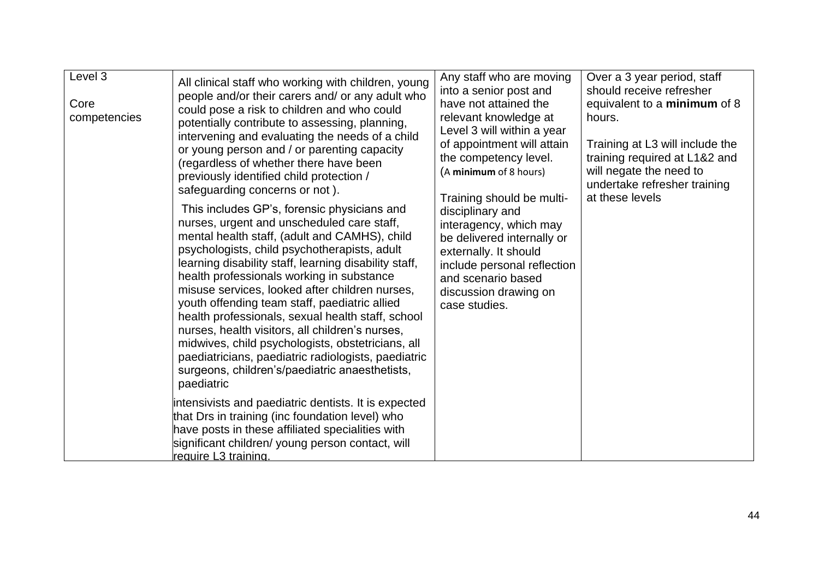| Level 3<br>Core<br>competencies | All clinical staff who working with children, young<br>people and/or their carers and/ or any adult who<br>could pose a risk to children and who could<br>potentially contribute to assessing, planning,<br>intervening and evaluating the needs of a child<br>or young person and / or parenting capacity<br>(regardless of whether there have been<br>previously identified child protection /<br>safequarding concerns or not).<br>This includes GP's, forensic physicians and<br>nurses, urgent and unscheduled care staff,<br>mental health staff, (adult and CAMHS), child<br>psychologists, child psychotherapists, adult<br>learning disability staff, learning disability staff,<br>health professionals working in substance<br>misuse services, looked after children nurses,<br>youth offending team staff, paediatric allied<br>health professionals, sexual health staff, school<br>nurses, health visitors, all children's nurses,<br>midwives, child psychologists, obstetricians, all<br>paediatricians, paediatric radiologists, paediatric<br>surgeons, children's/paediatric anaesthetists,<br>paediatric | Any staff who are moving<br>into a senior post and<br>have not attained the<br>relevant knowledge at<br>Level 3 will within a year<br>of appointment will attain<br>the competency level.<br>(A minimum of 8 hours)<br>Training should be multi-<br>disciplinary and<br>interagency, which may<br>be delivered internally or<br>externally. It should<br>include personal reflection<br>and scenario based<br>discussion drawing on<br>case studies. | Over a 3 year period, staff<br>should receive refresher<br>equivalent to a minimum of 8<br>hours.<br>Training at L3 will include the<br>training required at L1&2 and<br>will negate the need to<br>undertake refresher training<br>at these levels |
|---------------------------------|-------------------------------------------------------------------------------------------------------------------------------------------------------------------------------------------------------------------------------------------------------------------------------------------------------------------------------------------------------------------------------------------------------------------------------------------------------------------------------------------------------------------------------------------------------------------------------------------------------------------------------------------------------------------------------------------------------------------------------------------------------------------------------------------------------------------------------------------------------------------------------------------------------------------------------------------------------------------------------------------------------------------------------------------------------------------------------------------------------------------------------|------------------------------------------------------------------------------------------------------------------------------------------------------------------------------------------------------------------------------------------------------------------------------------------------------------------------------------------------------------------------------------------------------------------------------------------------------|-----------------------------------------------------------------------------------------------------------------------------------------------------------------------------------------------------------------------------------------------------|
|                                 | intensivists and paediatric dentists. It is expected<br>that Drs in training (inc foundation level) who<br>have posts in these affiliated specialities with<br>significant children/ young person contact, will<br>require L3 training.                                                                                                                                                                                                                                                                                                                                                                                                                                                                                                                                                                                                                                                                                                                                                                                                                                                                                       |                                                                                                                                                                                                                                                                                                                                                                                                                                                      |                                                                                                                                                                                                                                                     |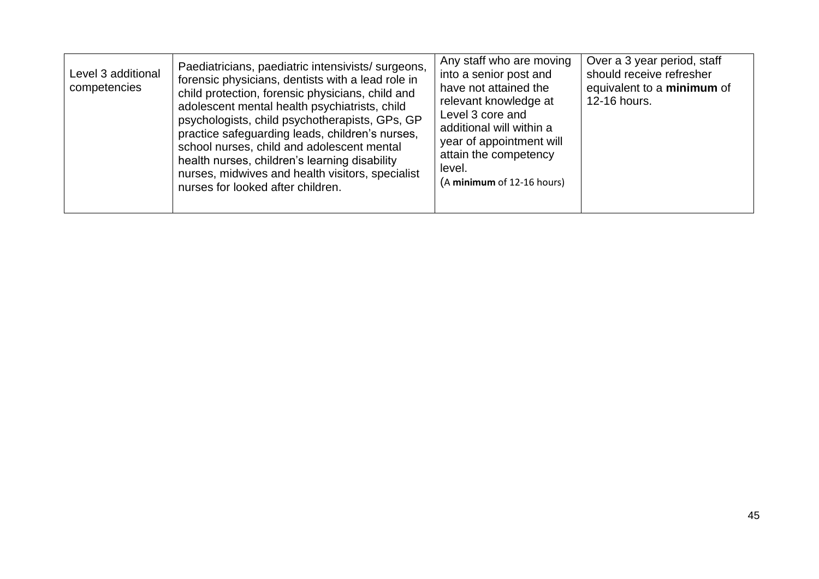| Level 3 additional<br>competencies | Paediatricians, paediatric intensivists/ surgeons,<br>forensic physicians, dentists with a lead role in<br>child protection, forensic physicians, child and<br>adolescent mental health psychiatrists, child<br>psychologists, child psychotherapists, GPs, GP<br>practice safeguarding leads, children's nurses,<br>school nurses, child and adolescent mental<br>health nurses, children's learning disability<br>nurses, midwives and health visitors, specialist<br>nurses for looked after children. | Any staff who are moving<br>into a senior post and<br>have not attained the<br>relevant knowledge at<br>Level 3 core and<br>additional will within a<br>year of appointment will<br>attain the competency<br>level.<br>$(A minimum of 12-16 hours)$ | Over a 3 year period, staff<br>should receive refresher<br>equivalent to a minimum of<br>12-16 hours. |
|------------------------------------|-----------------------------------------------------------------------------------------------------------------------------------------------------------------------------------------------------------------------------------------------------------------------------------------------------------------------------------------------------------------------------------------------------------------------------------------------------------------------------------------------------------|-----------------------------------------------------------------------------------------------------------------------------------------------------------------------------------------------------------------------------------------------------|-------------------------------------------------------------------------------------------------------|
|------------------------------------|-----------------------------------------------------------------------------------------------------------------------------------------------------------------------------------------------------------------------------------------------------------------------------------------------------------------------------------------------------------------------------------------------------------------------------------------------------------------------------------------------------------|-----------------------------------------------------------------------------------------------------------------------------------------------------------------------------------------------------------------------------------------------------|-------------------------------------------------------------------------------------------------------|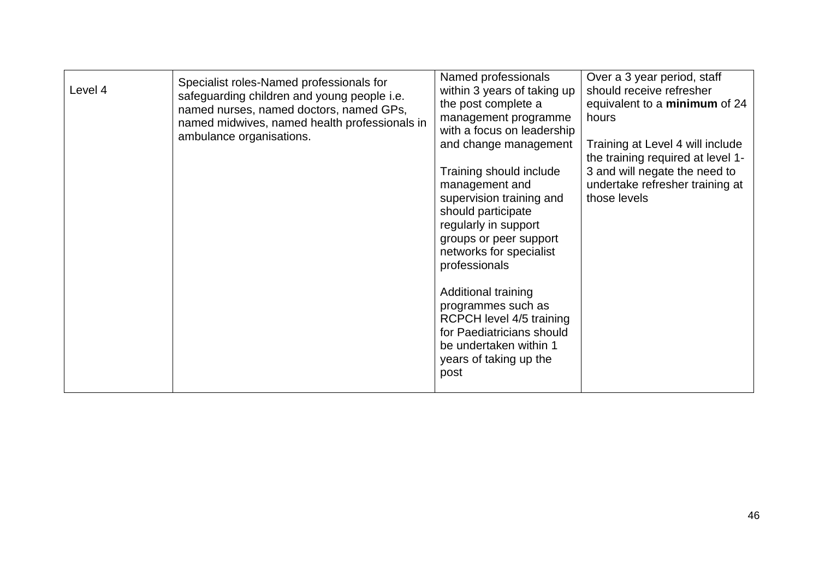| Level 4 | Specialist roles-Named professionals for<br>safeguarding children and young people i.e.<br>named nurses, named doctors, named GPs,<br>named midwives, named health professionals in<br>ambulance organisations. | Named professionals<br>within 3 years of taking up<br>the post complete a<br>management programme<br>with a focus on leadership<br>and change management<br>Training should include<br>management and<br>supervision training and<br>should participate<br>regularly in support<br>groups or peer support<br>networks for specialist<br>professionals<br><b>Additional training</b><br>programmes such as<br>RCPCH level 4/5 training<br>for Paediatricians should<br>be undertaken within 1<br>years of taking up the<br>post | Over a 3 year period, staff<br>should receive refresher<br>equivalent to a minimum of 24<br>hours<br>Training at Level 4 will include<br>the training required at level 1-<br>3 and will negate the need to<br>undertake refresher training at<br>those levels |
|---------|-----------------------------------------------------------------------------------------------------------------------------------------------------------------------------------------------------------------|--------------------------------------------------------------------------------------------------------------------------------------------------------------------------------------------------------------------------------------------------------------------------------------------------------------------------------------------------------------------------------------------------------------------------------------------------------------------------------------------------------------------------------|----------------------------------------------------------------------------------------------------------------------------------------------------------------------------------------------------------------------------------------------------------------|
|---------|-----------------------------------------------------------------------------------------------------------------------------------------------------------------------------------------------------------------|--------------------------------------------------------------------------------------------------------------------------------------------------------------------------------------------------------------------------------------------------------------------------------------------------------------------------------------------------------------------------------------------------------------------------------------------------------------------------------------------------------------------------------|----------------------------------------------------------------------------------------------------------------------------------------------------------------------------------------------------------------------------------------------------------------|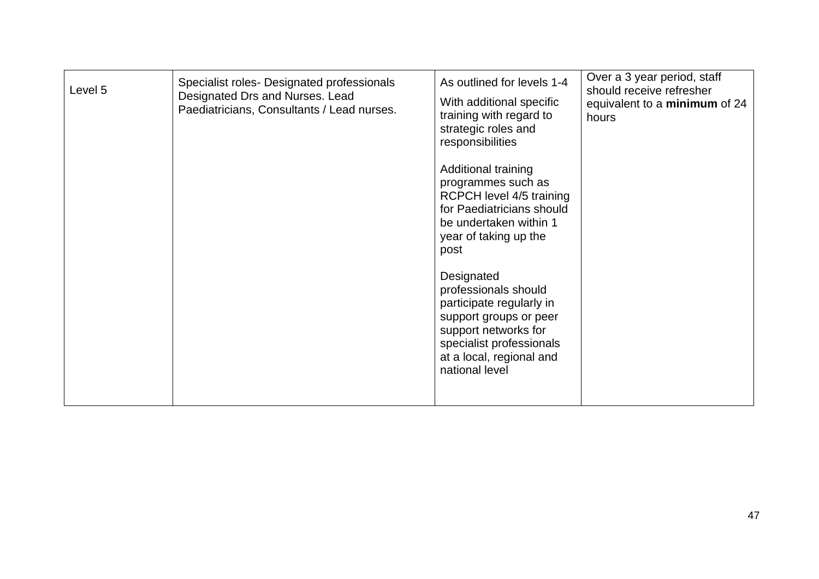| Level 5 | Specialist roles- Designated professionals<br>Designated Drs and Nurses. Lead<br>Paediatricians, Consultants / Lead nurses. | As outlined for levels 1-4<br>With additional specific<br>training with regard to<br>strategic roles and<br>responsibilities<br>Additional training<br>programmes such as<br>RCPCH level 4/5 training<br>for Paediatricians should<br>be undertaken within 1<br>year of taking up the<br>post<br>Designated<br>professionals should<br>participate regularly in<br>support groups or peer<br>support networks for<br>specialist professionals<br>at a local, regional and<br>national level | Over a 3 year period, staff<br>should receive refresher<br>equivalent to a minimum of 24<br>hours |
|---------|-----------------------------------------------------------------------------------------------------------------------------|---------------------------------------------------------------------------------------------------------------------------------------------------------------------------------------------------------------------------------------------------------------------------------------------------------------------------------------------------------------------------------------------------------------------------------------------------------------------------------------------|---------------------------------------------------------------------------------------------------|
|         |                                                                                                                             |                                                                                                                                                                                                                                                                                                                                                                                                                                                                                             |                                                                                                   |